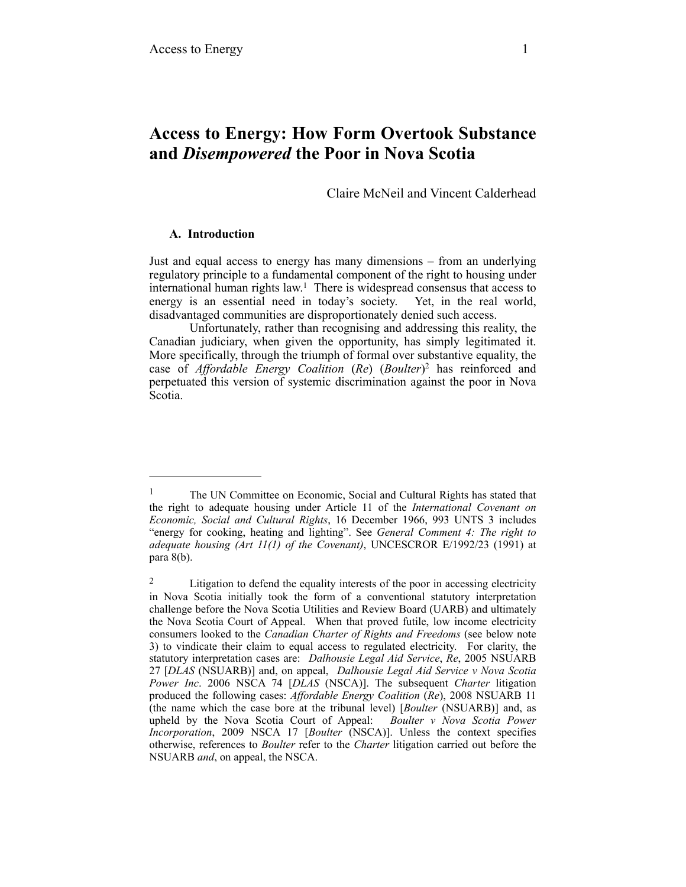# **Access to Energy: How Form Overtook Substance and** *Disempowered* **the Poor in Nova Scotia**

Claire McNeil and Vincent Calderhead

# **A. Introduction**

Just and equal access to energy has many dimensions – from an underlying regulatory principle to a fundamental component of the right to housing under international human rights law.<sup>1</sup> There is widespread consensus that access to energy is an essential need in today's society. Yet, in the real world, disadvantaged communities are disproportionately denied such access.

Unfortunately, rather than recognising and addressing this reality, the Canadian judiciary, when given the opportunity, has simply legitimated it. More specifically, through the triumph of formal over substantive equality, the case of *Affordable Energy Coalition* (*Re*) (*Boulter*)<sup>2</sup> has reinforced and perpetuated this version of systemic discrimination against the poor in Nova Scotia.

<sup>&</sup>lt;sup>1</sup> The UN Committee on Economic, Social and Cultural Rights has stated that the right to adequate housing under Article 11 of the *International Covenant on Economic, Social and Cultural Rights*, 16 December 1966, 993 UNTS 3 includes "energy for cooking, heating and lighting". See *General Comment 4: The right to adequate housing (Art 11(1) of the Covenant)*, UNCESCROR E/1992/23 (1991) at para 8(b).

<sup>&</sup>lt;sup>2</sup> Litigation to defend the equality interests of the poor in accessing electricity in Nova Scotia initially took the form of a conventional statutory interpretation challenge before the Nova Scotia Utilities and Review Board (UARB) and ultimately the Nova Scotia Court of Appeal. When that proved futile, low income electricity consumers looked to the *Canadian Charter of Rights and Freedoms* (see below note 3) to vindicate their claim to equal access to regulated electricity. For clarity, the statutory interpretation cases are: *Dalhousie Legal Aid Service*, *Re*, 2005 NSUARB 27 [*DLAS* (NSUARB)] and, on appeal, *Dalhousie Legal Aid Service v Nova Scotia Power Inc*. 2006 NSCA 74 [*DLAS* (NSCA)]. The subsequent *Charter* litigation produced the following cases: *Affordable Energy Coalition* (*Re*), 2008 NSUARB 11 (the name which the case bore at the tribunal level) [*Boulter* (NSUARB)] and, as upheld by the Nova Scotia Court of Appeal: *Boulter v Nova Scotia Power Incorporation*, 2009 NSCA 17 [*Boulter* (NSCA)]. Unless the context specifies otherwise, references to *Boulter* refer to the *Charter* litigation carried out before the NSUARB *and*, on appeal, the NSCA.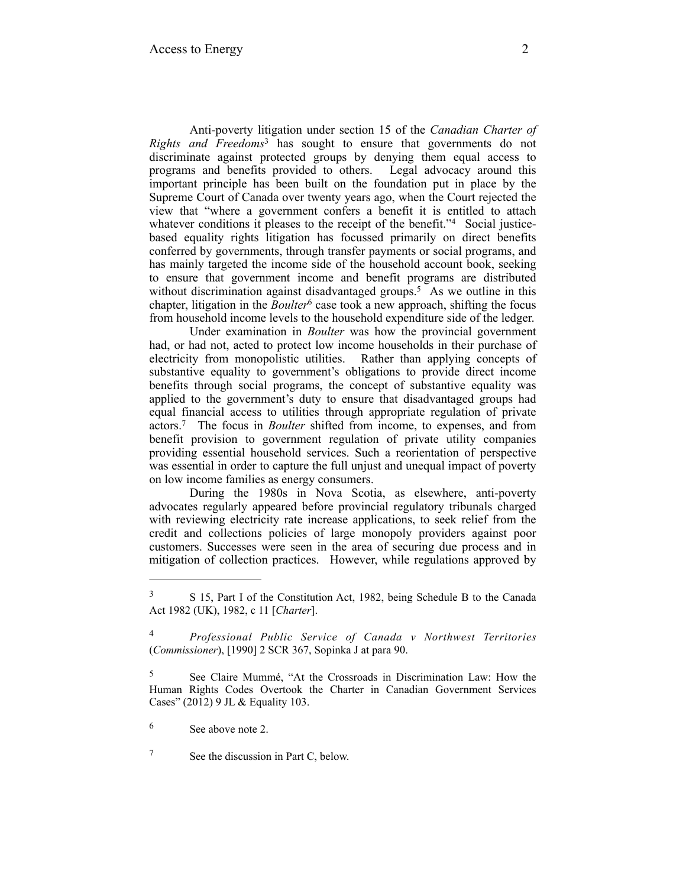Anti-poverty litigation under section 15 of the *Canadian Charter of Rights and Freedoms*<sup>3</sup> has sought to ensure that governments do not discriminate against protected groups by denying them equal access to programs and benefits provided to others. Legal advocacy around this important principle has been built on the foundation put in place by the Supreme Court of Canada over twenty years ago, when the Court rejected the view that "where a government confers a benefit it is entitled to attach whatever conditions it pleases to the receipt of the benefit." $4$  Social justicebased equality rights litigation has focussed primarily on direct benefits conferred by governments, through transfer payments or social programs, and has mainly targeted the income side of the household account book, seeking to ensure that government income and benefit programs are distributed without discrimination against disadvantaged groups.<sup>5</sup> As we outline in this chapter, litigation in the *Boulter*<sup>6</sup> case took a new approach, shifting the focus from household income levels to the household expenditure side of the ledger.

Under examination in *Boulter* was how the provincial government had, or had not, acted to protect low income households in their purchase of electricity from monopolistic utilities. Rather than applying concepts of substantive equality to government's obligations to provide direct income benefits through social programs, the concept of substantive equality was applied to the government's duty to ensure that disadvantaged groups had equal financial access to utilities through appropriate regulation of private actors.<sup>7</sup> The focus in *Boulter* shifted from income, to expenses, and from benefit provision to government regulation of private utility companies providing essential household services. Such a reorientation of perspective was essential in order to capture the full unjust and unequal impact of poverty on low income families as energy consumers.

During the 1980s in Nova Scotia, as elsewhere, anti-poverty advocates regularly appeared before provincial regulatory tribunals charged with reviewing electricity rate increase applications, to seek relief from the credit and collections policies of large monopoly providers against poor customers. Successes were seen in the area of securing due process and in mitigation of collection practices. However, while regulations approved by

<sup>&</sup>lt;sup>3</sup> S 15, Part I of the Constitution Act, 1982, being Schedule B to the Canada Act 1982 (UK), 1982, c 11 [*Charter*].

*Professional Public Service of Canada v Northwest Territories* <sup>4</sup> (*Commissioner*), [1990] 2 SCR 367, Sopinka J at para 90.

<sup>&</sup>lt;sup>5</sup> See Claire Mummé, "At the Crossroads in Discrimination Law: How the Human Rights Codes Overtook the Charter in Canadian Government Services Cases" (2012) 9 JL & Equality 103.

See above note 2. <sup>6</sup>

<sup>&</sup>lt;sup>7</sup> See the discussion in Part C, below.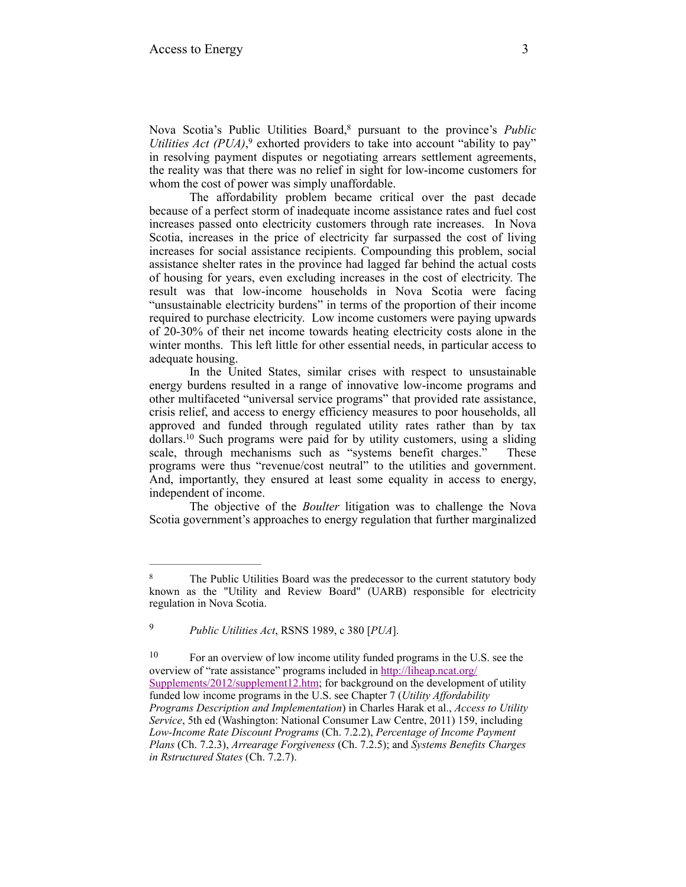Nova Scotia's Public Utilities Board,<sup>8</sup> pursuant to the province's Public *Utilities Act (PUA)*,<sup>9</sup> exhorted providers to take into account "ability to pay" in resolving payment disputes or negotiating arrears settlement agreements, the reality was that there was no relief in sight for low-income customers for whom the cost of power was simply unaffordable.

The affordability problem became critical over the past decade because of a perfect storm of inadequate income assistance rates and fuel cost increases passed onto electricity customers through rate increases. In Nova Scotia, increases in the price of electricity far surpassed the cost of living increases for social assistance recipients. Compounding this problem, social assistance shelter rates in the province had lagged far behind the actual costs of housing for years, even excluding increases in the cost of electricity. The result was that low-income households in Nova Scotia were facing "unsustainable electricity burdens" in terms of the proportion of their income required to purchase electricity. Low income customers were paying upwards of 20-30% of their net income towards heating electricity costs alone in the winter months. This left little for other essential needs, in particular access to adequate housing.

In the United States, similar crises with respect to unsustainable energy burdens resulted in a range of innovative low-income programs and other multifaceted "universal service programs" that provided rate assistance, crisis relief, and access to energy efficiency measures to poor households, all approved and funded through regulated utility rates rather than by tax  $d$ ollars.<sup>10</sup> Such programs were paid for by utility customers, using a sliding scale, through mechanisms such as "systems benefit charges." These programs were thus "revenue/cost neutral" to the utilities and government. And, importantly, they ensured at least some equality in access to energy, independent of income.

The objective of the *Boulter* litigation was to challenge the Nova Scotia government's approaches to energy regulation that further marginalized

*Public Utilities Act*, RSNS 1989, c 380 [*PUA*]. <sup>9</sup>

<sup>&</sup>lt;sup>8</sup> The Public Utilities Board was the predecessor to the current statutory body known as the "Utility and Review Board" (UARB) responsible for electricity regulation in Nova Scotia.

 $10$  For an overview of low income utility funded programs in the U.S. see the [overview of "rate assistance" programs included in http://liheap.ncat.org/](http://liheap.ncat.org/supplements/2012/supplement12.htm) Supplements/2012/supplement12.htm; for background on the development of utility funded low income programs in the U.S. see Chapter 7 (*Utility Affordability Programs Description and Implementation*) in Charles Harak et al., *Access to Utility Service*, 5th ed (Washington: National Consumer Law Centre, 2011) 159, including *Low-Income Rate Discount Programs* (Ch. 7.2.2), *Percentage of Income Payment Plans* (Ch. 7.2.3), *Arrearage Forgiveness* (Ch. 7.2.5); and *Systems Benefits Charges in Rstructured States* (Ch. 7.2.7).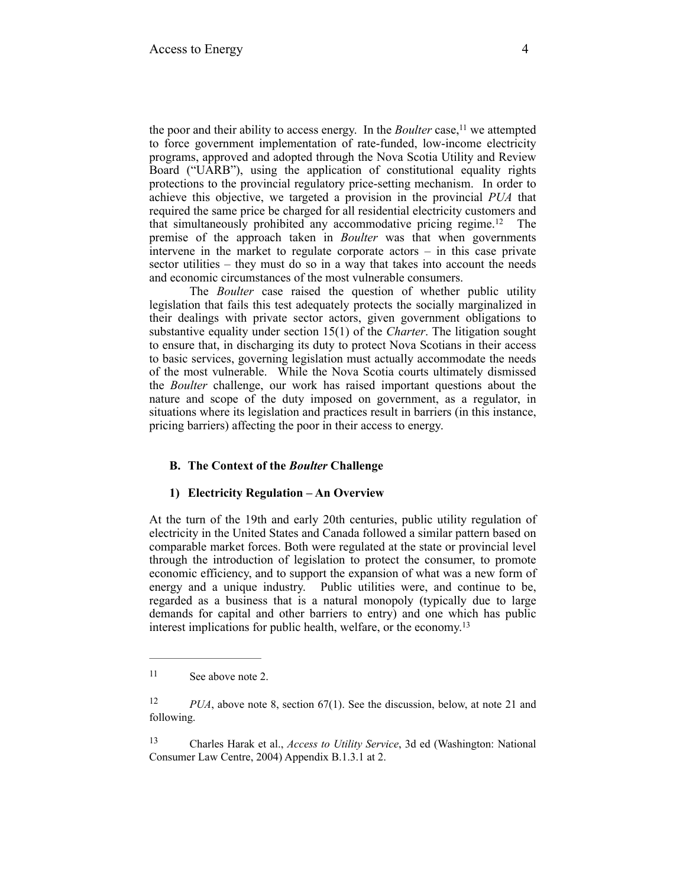the poor and their ability to access energy. In the *Boulter* case,<sup>11</sup> we attempted to force government implementation of rate-funded, low-income electricity programs, approved and adopted through the Nova Scotia Utility and Review Board ("UARB"), using the application of constitutional equality rights protections to the provincial regulatory price-setting mechanism. In order to achieve this objective, we targeted a provision in the provincial *PUA* that required the same price be charged for all residential electricity customers and that simultaneously prohibited any accommodative pricing regime.<sup>12</sup> The premise of the approach taken in *Boulter* was that when governments intervene in the market to regulate corporate actors – in this case private sector utilities – they must do so in a way that takes into account the needs and economic circumstances of the most vulnerable consumers.

The *Boulter* case raised the question of whether public utility legislation that fails this test adequately protects the socially marginalized in their dealings with private sector actors, given government obligations to substantive equality under section 15(1) of the *Charter*. The litigation sought to ensure that, in discharging its duty to protect Nova Scotians in their access to basic services, governing legislation must actually accommodate the needs of the most vulnerable. While the Nova Scotia courts ultimately dismissed the *Boulter* challenge, our work has raised important questions about the nature and scope of the duty imposed on government, as a regulator, in situations where its legislation and practices result in barriers (in this instance, pricing barriers) affecting the poor in their access to energy.

# **B. The Context of the** *Boulter* **Challenge**

### **1) Electricity Regulation – An Overview**

At the turn of the 19th and early 20th centuries, public utility regulation of electricity in the United States and Canada followed a similar pattern based on comparable market forces. Both were regulated at the state or provincial level through the introduction of legislation to protect the consumer, to promote economic efficiency, and to support the expansion of what was a new form of energy and a unique industry. Public utilities were, and continue to be, regarded as a business that is a natural monopoly (typically due to large demands for capital and other barriers to entry) and one which has public interest implications for public health, welfare, or the economy.13

 Charles Harak et al., *Access to Utility Service*, 3d ed (Washington: National 13 Consumer Law Centre, 2004) Appendix B.1.3.1 at 2.

<sup>&</sup>lt;sup>11</sup> See above note 2.

<sup>&</sup>lt;sup>12</sup> *PUA*, above note 8, section 67(1). See the discussion, below, at note 21 and following.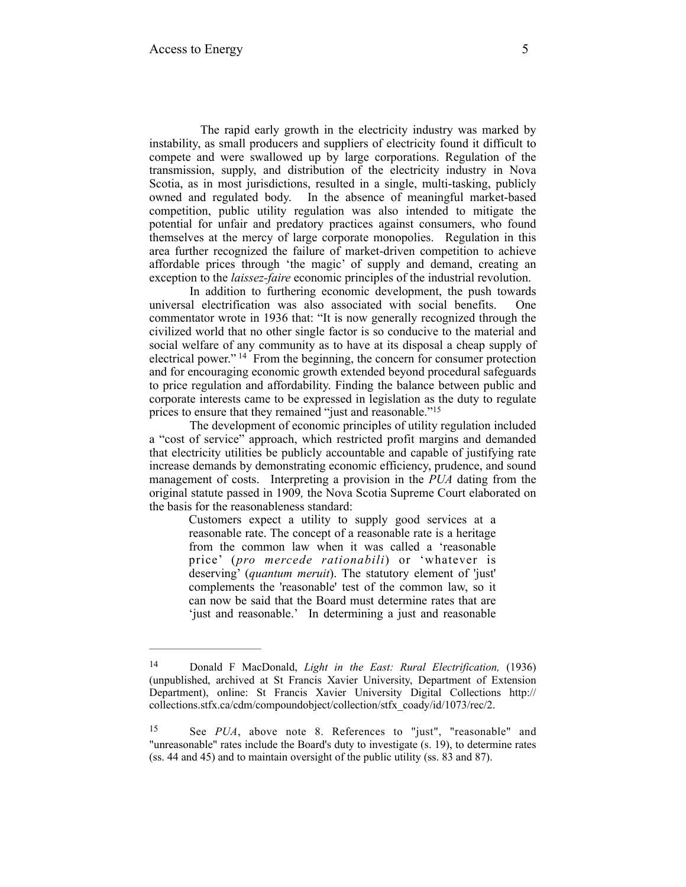The rapid early growth in the electricity industry was marked by instability, as small producers and suppliers of electricity found it difficult to compete and were swallowed up by large corporations. Regulation of the transmission, supply, and distribution of the electricity industry in Nova Scotia, as in most jurisdictions, resulted in a single, multi-tasking, publicly owned and regulated body. In the absence of meaningful market-based competition, public utility regulation was also intended to mitigate the potential for unfair and predatory practices against consumers, who found themselves at the mercy of large corporate monopolies. Regulation in this area further recognized the failure of market-driven competition to achieve affordable prices through 'the magic' of supply and demand, creating an exception to the *laissez-faire* economic principles of the industrial revolution.

In addition to furthering economic development, the push towards universal electrification was also associated with social benefits. One commentator wrote in 1936 that: "It is now generally recognized through the civilized world that no other single factor is so conducive to the material and social welfare of any community as to have at its disposal a cheap supply of electrical power."  $^{14}$  From the beginning, the concern for consumer protection and for encouraging economic growth extended beyond procedural safeguards to price regulation and affordability. Finding the balance between public and corporate interests came to be expressed in legislation as the duty to regulate prices to ensure that they remained "just and reasonable."<sup>15</sup>

The development of economic principles of utility regulation included a "cost of service" approach, which restricted profit margins and demanded that electricity utilities be publicly accountable and capable of justifying rate increase demands by demonstrating economic efficiency, prudence, and sound management of costs. Interpreting a provision in the *PUA* dating from the original statute passed in 1909*,* the Nova Scotia Supreme Court elaborated on the basis for the reasonableness standard:

Customers expect a utility to supply good services at a reasonable rate. The concept of a reasonable rate is a heritage from the common law when it was called a 'reasonable price' (*pro mercede rationabili*) or 'whatever is deserving' (*quantum meruit*). The statutory element of 'just' complements the 'reasonable' test of the common law, so it can now be said that the Board must determine rates that are 'just and reasonable.' In determining a just and reasonable

Donald F MacDonald, *Light in the East: Rural Electrification,* (1936) 14 (unpublished, archived at St Francis Xavier University, Department of Extension Department), online: St Francis Xavier University Digital Collections http:// collections.stfx.ca/cdm/compoundobject/collection/stfx\_coady/id/1073/rec/2.

<sup>&</sup>lt;sup>15</sup> See *PUA*, above note 8. References to "just", "reasonable" and "unreasonable" rates include the Board's duty to investigate (s. 19), to determine rates (ss. 44 and 45) and to maintain oversight of the public utility (ss. 83 and 87).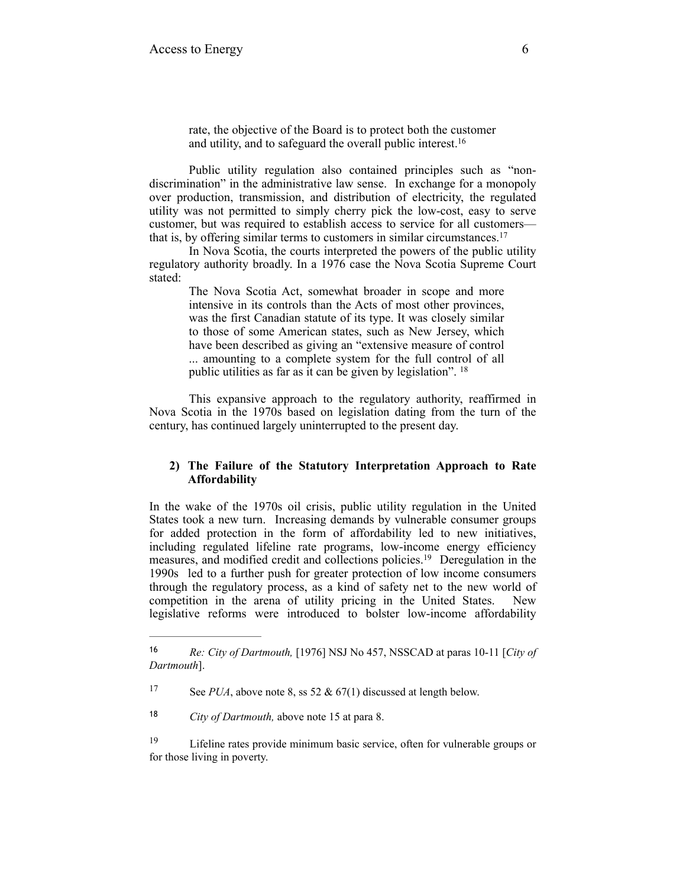rate, the objective of the Board is to protect both the customer and utility, and to safeguard the overall public interest.16

Public utility regulation also contained principles such as "nondiscrimination" in the administrative law sense. In exchange for a monopoly over production, transmission, and distribution of electricity, the regulated utility was not permitted to simply cherry pick the low-cost, easy to serve customer, but was required to establish access to service for all customers that is, by offering similar terms to customers in similar circumstances. 17

In Nova Scotia, the courts interpreted the powers of the public utility regulatory authority broadly. In a 1976 case the Nova Scotia Supreme Court stated:

> The Nova Scotia Act, somewhat broader in scope and more intensive in its controls than the Acts of most other provinces, was the first Canadian statute of its type. It was closely similar to those of some American states, such as New Jersey, which have been described as giving an "extensive measure of control ... amounting to a complete system for the full control of all public utilities as far as it can be given by legislation". 18

This expansive approach to the regulatory authority, reaffirmed in Nova Scotia in the 1970s based on legislation dating from the turn of the century, has continued largely uninterrupted to the present day.

# **2) The Failure of the Statutory Interpretation Approach to Rate Affordability**

In the wake of the 1970s oil crisis, public utility regulation in the United States took a new turn. Increasing demands by vulnerable consumer groups for added protection in the form of affordability led to new initiatives, including regulated lifeline rate programs, low-income energy efficiency measures, and modified credit and collections policies.<sup>19</sup> Deregulation in the 1990s led to a further push for greater protection of low income consumers through the regulatory process, as a kind of safety net to the new world of competition in the arena of utility pricing in the United States. New legislative reforms were introduced to bolster low-income affordability

*Re: City of Dartmouth,* [1976] NSJ No 457, NSSCAD at paras 10-11 [*City of* <sup>16</sup> *Dartmouth*].

<sup>&</sup>lt;sup>17</sup> See *PUA*, above note 8, ss 52 & 67(1) discussed at length below.

<sup>&</sup>lt;sup>18</sup> *City of Dartmouth, above note 15 at para 8.* 

<sup>&</sup>lt;sup>19</sup> Lifeline rates provide minimum basic service, often for vulnerable groups or for those living in poverty.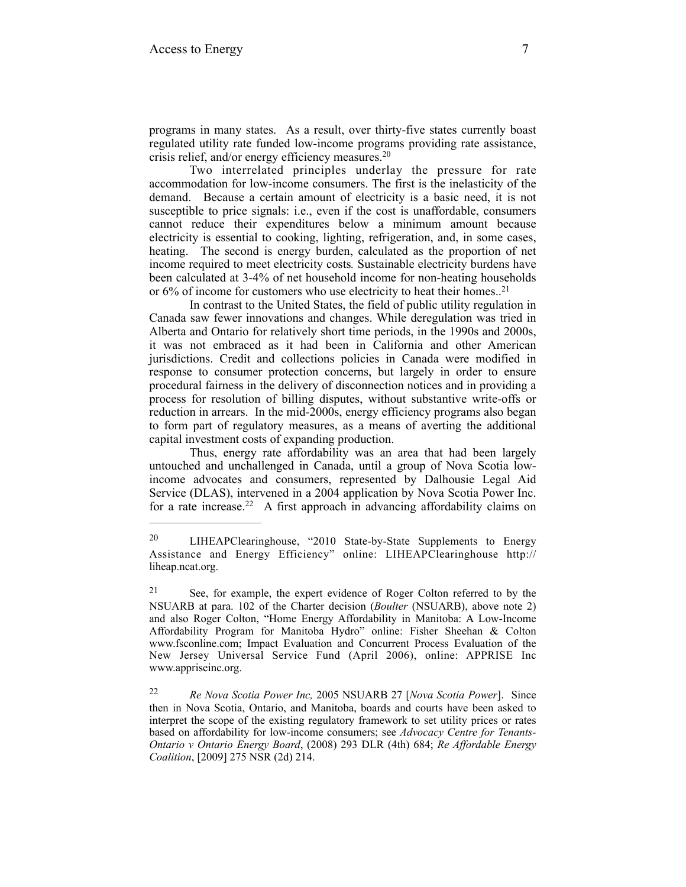programs in many states. As a result, over thirty-five states currently boast regulated utility rate funded low-income programs providing rate assistance, crisis relief, and/or energy efficiency measures. 20

Two interrelated principles underlay the pressure for rate accommodation for low-income consumers. The first is the inelasticity of the demand. Because a certain amount of electricity is a basic need, it is not susceptible to price signals: i.e., even if the cost is unaffordable, consumers cannot reduce their expenditures below a minimum amount because electricity is essential to cooking, lighting, refrigeration, and, in some cases, heating. The second is energy burden, calculated as the proportion of net income required to meet electricity costs*.* Sustainable electricity burdens have been calculated at 3-4% of net household income for non-heating households or 6% of income for customers who use electricity to heat their homes..21

In contrast to the United States, the field of public utility regulation in Canada saw fewer innovations and changes. While deregulation was tried in Alberta and Ontario for relatively short time periods, in the 1990s and 2000s, it was not embraced as it had been in California and other American jurisdictions. Credit and collections policies in Canada were modified in response to consumer protection concerns, but largely in order to ensure procedural fairness in the delivery of disconnection notices and in providing a process for resolution of billing disputes, without substantive write-offs or reduction in arrears. In the mid-2000s, energy efficiency programs also began to form part of regulatory measures, as a means of averting the additional capital investment costs of expanding production.

Thus, energy rate affordability was an area that had been largely untouched and unchallenged in Canada, until a group of Nova Scotia lowincome advocates and consumers, represented by Dalhousie Legal Aid Service (DLAS), intervened in a 2004 application by Nova Scotia Power Inc. for a rate increase.<sup>22</sup> A first approach in advancing affordability claims on

<sup>&</sup>lt;sup>20</sup> LIHEAPClearinghouse, "2010 State-by-State Supplements to Energy Assistance and Energy Efficiency" online: LIHEAPClearinghouse http:// liheap.ncat.org.

 $21$  See, for example, the expert evidence of Roger Colton referred to by the NSUARB at para. 102 of the Charter decision (*Boulter* (NSUARB), above note 2) and also Roger Colton, "Home Energy Affordability in Manitoba: A Low-Income Affordability Program for Manitoba Hydro" online: Fisher Sheehan & Colton www.fsconline.com; Impact Evaluation and Concurrent Process Evaluation of the New Jersey Universal Service Fund (April 2006), online: APPRISE Inc www.appriseinc.org.

*Re Nova Scotia Power Inc,* 2005 NSUARB 27 [*Nova Scotia Power*]. Since 22 then in Nova Scotia, Ontario, and Manitoba, boards and courts have been asked to interpret the scope of the existing regulatory framework to set utility prices or rates based on affordability for low-income consumers; see *Advocacy Centre for Tenants-Ontario v Ontario Energy Board*, (2008) 293 DLR (4th) 684; *Re Affordable Energy Coalition*, [2009] 275 NSR (2d) 214.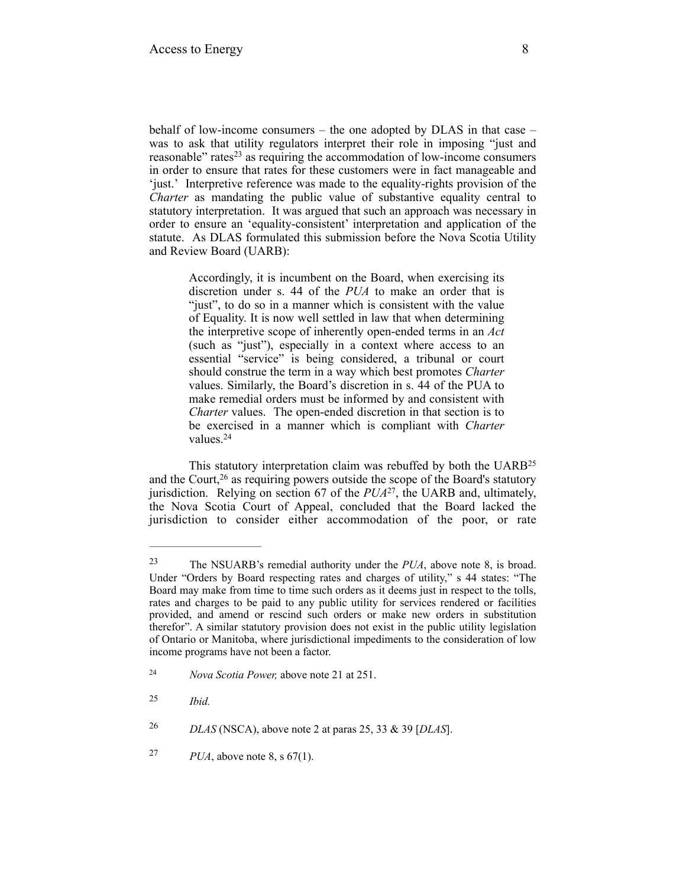behalf of low-income consumers – the one adopted by DLAS in that case – was to ask that utility regulators interpret their role in imposing "just and reasonable" rates<sup>23</sup> as requiring the accommodation of low-income consumers in order to ensure that rates for these customers were in fact manageable and 'just.' Interpretive reference was made to the equality-rights provision of the *Charter* as mandating the public value of substantive equality central to statutory interpretation. It was argued that such an approach was necessary in order to ensure an 'equality-consistent' interpretation and application of the statute. As DLAS formulated this submission before the Nova Scotia Utility and Review Board (UARB):

> Accordingly, it is incumbent on the Board, when exercising its discretion under s. 44 of the *PUA* to make an order that is "just", to do so in a manner which is consistent with the value of Equality. It is now well settled in law that when determining the interpretive scope of inherently open-ended terms in an *Act* (such as "just"), especially in a context where access to an essential "service" is being considered, a tribunal or court should construe the term in a way which best promotes *Charter* values. Similarly, the Board's discretion in s. 44 of the PUA to make remedial orders must be informed by and consistent with *Charter* values. The open-ended discretion in that section is to be exercised in a manner which is compliant with *Charter* values.24

This statutory interpretation claim was rebuffed by both the UARB25 and the Court,  $26$  as requiring powers outside the scope of the Board's statutory jurisdiction. Relying on section 67 of the  $PUA^{27}$ , the UARB and, ultimately, the Nova Scotia Court of Appeal, concluded that the Board lacked the jurisdiction to consider either accommodation of the poor, or rate

The NSUARB's remedial authority under the *PUA*, above note 8, is broad. 23 Under "Orders by Board respecting rates and charges of utility," s 44 states: "The Board may make from time to time such orders as it deems just in respect to the tolls, rates and charges to be paid to any public utility for services rendered or facilities provided, and amend or rescind such orders or make new orders in substitution therefor". A similar statutory provision does not exist in the public utility legislation of Ontario or Manitoba, where jurisdictional impediments to the consideration of low income programs have not been a factor.

*Nova Scotia Power,* above note 21 at 251. 24

*Ibid.* <sup>25</sup>

*DLAS* (NSCA), above note 2 at paras 25, 33 & 39 [*DLAS*]. <sup>26</sup>

*PUA*, above note 8, s 67(1). 27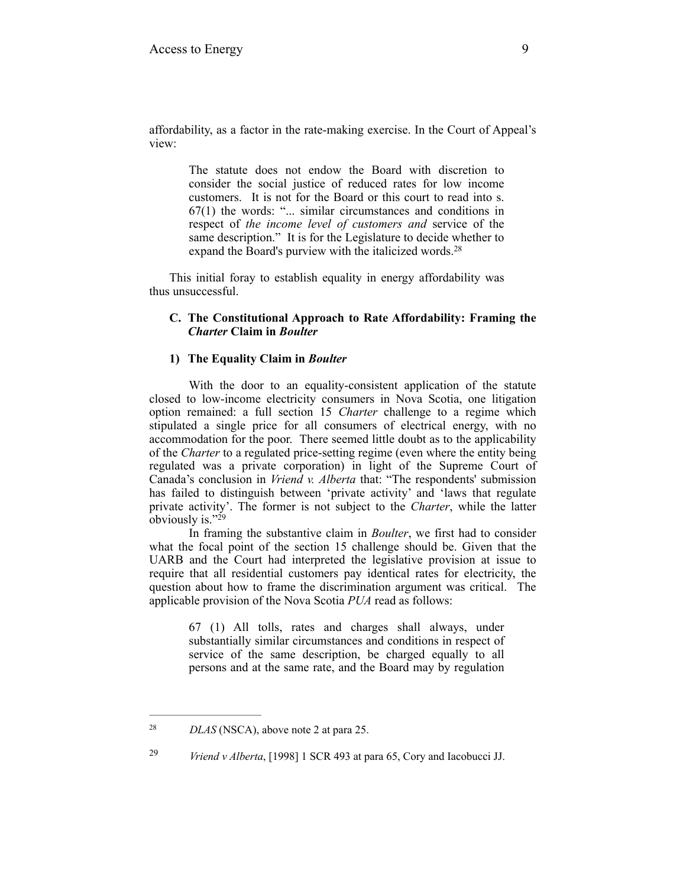affordability, as a factor in the rate-making exercise. In the Court of Appeal's view:

> The statute does not endow the Board with discretion to consider the social justice of reduced rates for low income customers. It is not for the Board or this court to read into s. 67(1) the words: "... similar circumstances and conditions in respect of *the income level of customers and* service of the same description." It is for the Legislature to decide whether to expand the Board's purview with the italicized words.<sup>28</sup>

This initial foray to establish equality in energy affordability was thus unsuccessful.

#### **C. The Constitutional Approach to Rate Affordability: Framing the**  *Charter* **Claim in** *Boulter*

# **1) The Equality Claim in** *Boulter*

With the door to an equality-consistent application of the statute closed to low-income electricity consumers in Nova Scotia, one litigation option remained: a full section 15 *Charter* challenge to a regime which stipulated a single price for all consumers of electrical energy, with no accommodation for the poor. There seemed little doubt as to the applicability of the *Charter* to a regulated price-setting regime (even where the entity being regulated was a private corporation) in light of the Supreme Court of Canada's conclusion in *Vriend v. Alberta* that: "The respondents' submission has failed to distinguish between 'private activity' and 'laws that regulate private activity'. The former is not subject to the *Charter*, while the latter obviously is."<sup>29</sup>

In framing the substantive claim in *Boulter*, we first had to consider what the focal point of the section 15 challenge should be. Given that the UARB and the Court had interpreted the legislative provision at issue to require that all residential customers pay identical rates for electricity, the question about how to frame the discrimination argument was critical. The applicable provision of the Nova Scotia *PUA* read as follows:

> 67 (1) All tolls, rates and charges shall always, under substantially similar circumstances and conditions in respect of service of the same description, be charged equally to all persons and at the same rate, and the Board may by regulation

<sup>&</sup>lt;sup>28</sup> *DLAS* (NSCA), above note 2 at para 25.

*Vriend v Alberta*, [1998] 1 SCR 493 at para 65, Cory and Iacobucci JJ. <sup>29</sup>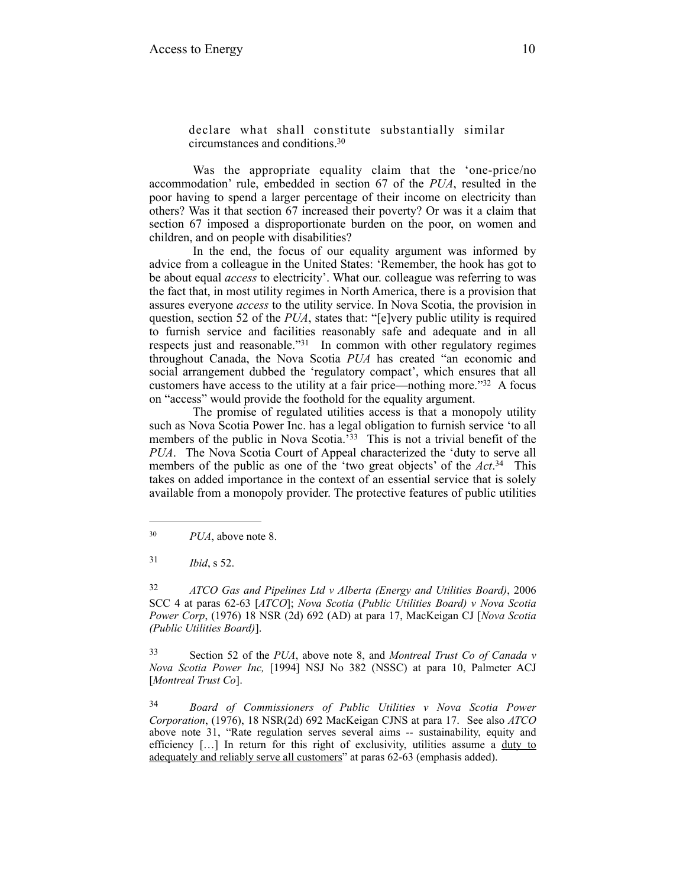declare what shall constitute substantially similar circumstances and conditions.30

 Was the appropriate equality claim that the 'one-price/no accommodation' rule, embedded in section 67 of the *PUA*, resulted in the poor having to spend a larger percentage of their income on electricity than others? Was it that section 67 increased their poverty? Or was it a claim that section 67 imposed a disproportionate burden on the poor, on women and children, and on people with disabilities?

 In the end, the focus of our equality argument was informed by advice from a colleague in the United States: 'Remember, the hook has got to be about equal *access* to electricity'. What our. colleague was referring to was the fact that, in most utility regimes in North America, there is a provision that assures everyone *access* to the utility service. In Nova Scotia, the provision in question, section 52 of the *PUA*, states that: "[e]very public utility is required to furnish service and facilities reasonably safe and adequate and in all respects just and reasonable." $31$  In common with other regulatory regimes throughout Canada, the Nova Scotia *PUA* has created "an economic and social arrangement dubbed the 'regulatory compact', which ensures that all customers have access to the utility at a fair price—nothing more." $32$  A focus on "access" would provide the foothold for the equality argument.

 The promise of regulated utilities access is that a monopoly utility such as Nova Scotia Power Inc. has a legal obligation to furnish service 'to all members of the public in Nova Scotia.<sup>33</sup> This is not a trivial benefit of the *PUA*. The Nova Scotia Court of Appeal characterized the 'duty to serve all members of the public as one of the 'two great objects' of the *Act*<sup>34</sup> This takes on added importance in the context of an essential service that is solely available from a monopoly provider. The protective features of public utilities

 *ATCO Gas and Pipelines Ltd v Alberta (Energy and Utilities Board)*, 2006 32 SCC 4 at paras 62-63 [*ATCO*]; *Nova Scotia* (*Public Utilities Board) v Nova Scotia Power Corp*, (1976) 18 NSR (2d) 692 (AD) at para 17, MacKeigan CJ [*Nova Scotia (Public Utilities Board)*].

 Section 52 of the *PUA*, above note 8, and *Montreal Trust Co of Canada v* <sup>33</sup> *Nova Scotia Power Inc,* [1994] NSJ No 382 (NSSC) at para 10, Palmeter ACJ [*Montreal Trust Co*].

 *Board of Commissioners of Public Utilities v Nova Scotia Power* <sup>34</sup> *Corporation*, (1976), 18 NSR(2d) 692 MacKeigan CJNS at para 17. See also *ATCO* above note 31, "Rate regulation serves several aims -- sustainability, equity and efficiency [...] In return for this right of exclusivity, utilities assume a duty to adequately and reliably serve all customers" at paras 62-63 (emphasis added).

<sup>&</sup>lt;sup>30</sup> *PUA*, above note 8.

*Ibid*, s 52. 31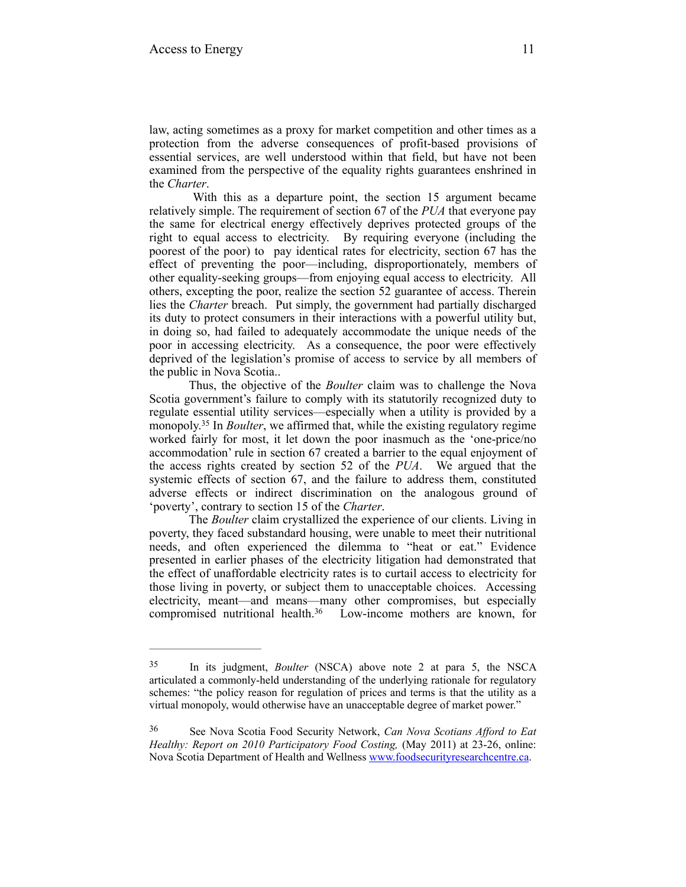law, acting sometimes as a proxy for market competition and other times as a protection from the adverse consequences of profit-based provisions of essential services, are well understood within that field, but have not been examined from the perspective of the equality rights guarantees enshrined in the *Charter*.

 With this as a departure point, the section 15 argument became relatively simple. The requirement of section 67 of the *PUA* that everyone pay the same for electrical energy effectively deprives protected groups of the right to equal access to electricity. By requiring everyone (including the poorest of the poor) to pay identical rates for electricity, section 67 has the effect of preventing the poor—including, disproportionately, members of other equality-seeking groups—from enjoying equal access to electricity. All others, excepting the poor, realize the section 52 guarantee of access. Therein lies the *Charter* breach. Put simply, the government had partially discharged its duty to protect consumers in their interactions with a powerful utility but, in doing so, had failed to adequately accommodate the unique needs of the poor in accessing electricity. As a consequence, the poor were effectively deprived of the legislation's promise of access to service by all members of the public in Nova Scotia..

 Thus, the objective of the *Boulter* claim was to challenge the Nova Scotia government's failure to comply with its statutorily recognized duty to regulate essential utility services—especially when a utility is provided by a monopoly.<sup>35</sup> In *Boulter*, we affirmed that, while the existing regulatory regime worked fairly for most, it let down the poor inasmuch as the 'one-price/no accommodation' rule in section 67 created a barrier to the equal enjoyment of the access rights created by section 52 of the *PUA*. We argued that the systemic effects of section 67, and the failure to address them, constituted adverse effects or indirect discrimination on the analogous ground of 'poverty', contrary to section 15 of the *Charter*.

 The *Boulter* claim crystallized the experience of our clients. Living in poverty, they faced substandard housing, were unable to meet their nutritional needs, and often experienced the dilemma to "heat or eat." Evidence presented in earlier phases of the electricity litigation had demonstrated that the effect of unaffordable electricity rates is to curtail access to electricity for those living in poverty, or subject them to unacceptable choices. Accessing electricity, meant—and means—many other compromises, but especially compromised nutritional health. $36$  Low-income mothers are known, for

<sup>&</sup>lt;sup>35</sup> In its judgment, *Boulter* (NSCA) above note 2 at para 5, the NSCA articulated a commonly-held understanding of the underlying rationale for regulatory schemes: "the policy reason for regulation of prices and terms is that the utility as a virtual monopoly, would otherwise have an unacceptable degree of market power."

See Nova Scotia Food Security Network, *Can Nova Scotians Afford to Eat* <sup>36</sup> *Healthy: Report on 2010 Participatory Food Costing,* (May 2011) at 23-26, online: Nova Scotia Department of Health and Wellness [www.foodsecurityresearchcentre.ca](http://www.foodsecurityresearchcentre.ca/storage/docs/food-costing/food%2520final%25202010_food%2520final.pdf).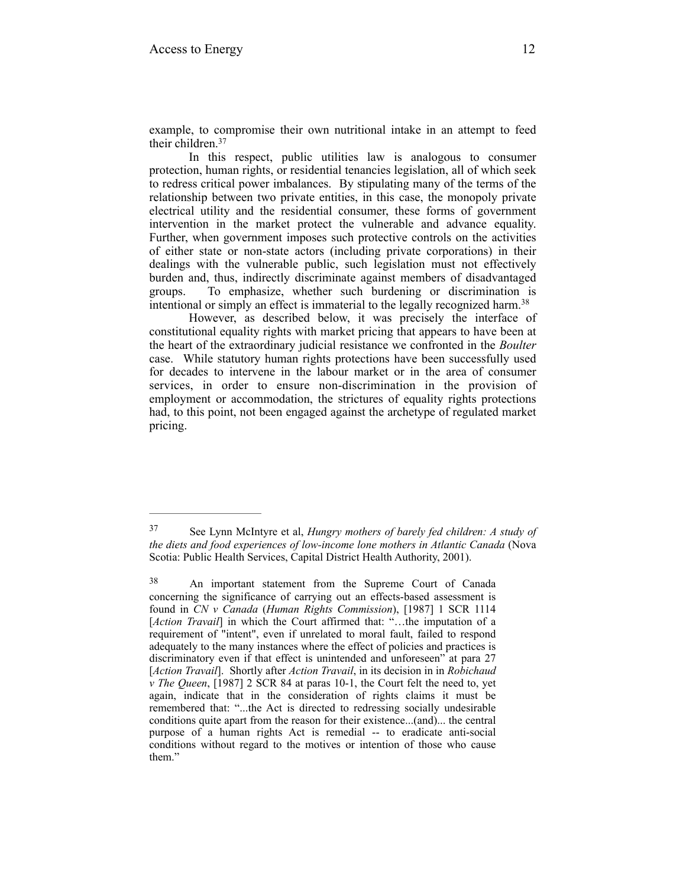example, to compromise their own nutritional intake in an attempt to feed their children.37

 In this respect, public utilities law is analogous to consumer protection, human rights, or residential tenancies legislation, all of which seek to redress critical power imbalances. By stipulating many of the terms of the relationship between two private entities, in this case, the monopoly private electrical utility and the residential consumer, these forms of government intervention in the market protect the vulnerable and advance equality. Further, when government imposes such protective controls on the activities of either state or non-state actors (including private corporations) in their dealings with the vulnerable public, such legislation must not effectively burden and, thus, indirectly discriminate against members of disadvantaged groups. To emphasize, whether such burdening or discrimination is intentional or simply an effect is immaterial to the legally recognized harm.38

 However, as described below, it was precisely the interface of constitutional equality rights with market pricing that appears to have been at the heart of the extraordinary judicial resistance we confronted in the *Boulter* case. While statutory human rights protections have been successfully used for decades to intervene in the labour market or in the area of consumer services, in order to ensure non-discrimination in the provision of employment or accommodation, the strictures of equality rights protections had, to this point, not been engaged against the archetype of regulated market pricing.

See Lynn McIntyre et al, *Hungry mothers of barely fed children: A study of* <sup>37</sup> *the diets and food experiences of low-income lone mothers in Atlantic Canada* (Nova Scotia: Public Health Services, Capital District Health Authority, 2001).

An important statement from the Supreme Court of Canada 38 concerning the significance of carrying out an effects-based assessment is found in *CN v Canada* (*Human Rights Commission*), [1987] 1 SCR 1114 [*Action Travail*] in which the Court affirmed that: "…the imputation of a requirement of "intent", even if unrelated to moral fault, failed to respond adequately to the many instances where the effect of policies and practices is discriminatory even if that effect is unintended and unforeseen" at para 27 [*Action Travail*]. Shortly after *Action Travail*, in its decision in in *Robichaud v The Queen*, [1987] 2 SCR 84 at paras 10-1, the Court felt the need to, yet again, indicate that in the consideration of rights claims it must be remembered that: "...the Act is directed to redressing socially undesirable conditions quite apart from the reason for their existence...(and)... the central purpose of a human rights Act is remedial -- to eradicate anti-social conditions without regard to the motives or intention of those who cause them."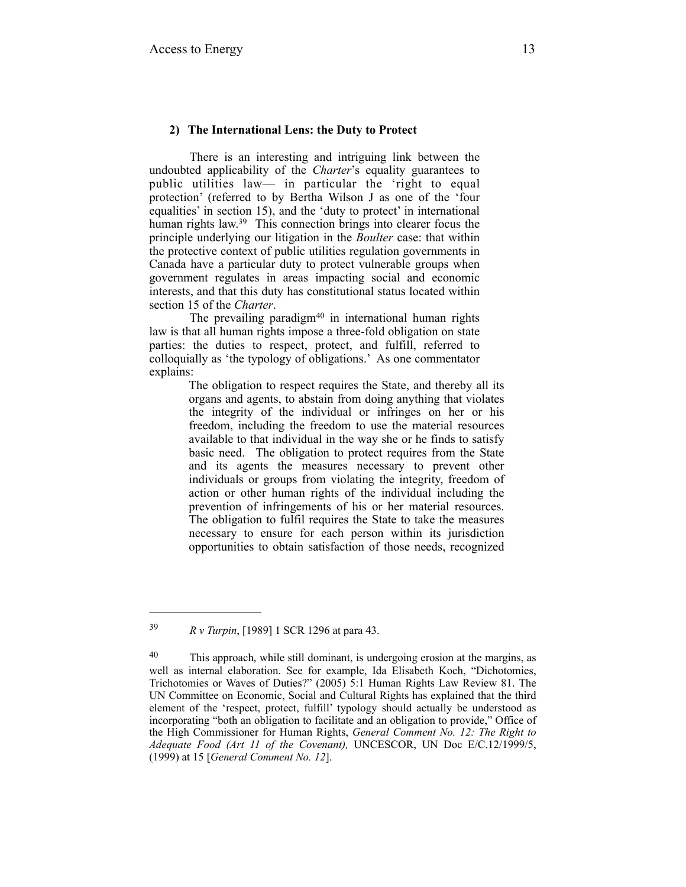#### **2) The International Lens: the Duty to Protect**

 There is an interesting and intriguing link between the undoubted applicability of the *Charter*'s equality guarantees to public utilities law— in particular the 'right to equal protection' (referred to by Bertha Wilson J as one of the 'four equalities' in section 15), and the 'duty to protect' in international human rights law.<sup>39</sup> This connection brings into clearer focus the principle underlying our litigation in the *Boulter* case: that within the protective context of public utilities regulation governments in Canada have a particular duty to protect vulnerable groups when government regulates in areas impacting social and economic interests, and that this duty has constitutional status located within section 15 of the *Charter*.

The prevailing paradigm $40$  in international human rights law is that all human rights impose a three-fold obligation on state parties: the duties to respect, protect, and fulfill, referred to colloquially as 'the typology of obligations.' As one commentator explains:

> The obligation to respect requires the State, and thereby all its organs and agents, to abstain from doing anything that violates the integrity of the individual or infringes on her or his freedom, including the freedom to use the material resources available to that individual in the way she or he finds to satisfy basic need. The obligation to protect requires from the State and its agents the measures necessary to prevent other individuals or groups from violating the integrity, freedom of action or other human rights of the individual including the prevention of infringements of his or her material resources. The obligation to fulfil requires the State to take the measures necessary to ensure for each person within its jurisdiction opportunities to obtain satisfaction of those needs, recognized

*R v Turpin*, [1989] 1 SCR 1296 at para 43. 39

<sup>&</sup>lt;sup>40</sup> This approach, while still dominant, is undergoing erosion at the margins, as well as internal elaboration. See for example, Ida Elisabeth Koch, "Dichotomies, Trichotomies or Waves of Duties?" (2005) 5:1 Human Rights Law Review 81. The UN Committee on Economic, Social and Cultural Rights has explained that the third element of the 'respect, protect, fulfill' typology should actually be understood as incorporating "both an obligation to facilitate and an obligation to provide," Office of the High Commissioner for Human Rights, *General Comment No. 12: The Right to Adequate Food (Art 11 of the Covenant),* UNCESCOR, UN Doc E/C.12/1999/5, (1999) at 15 [*General Comment No. 12*].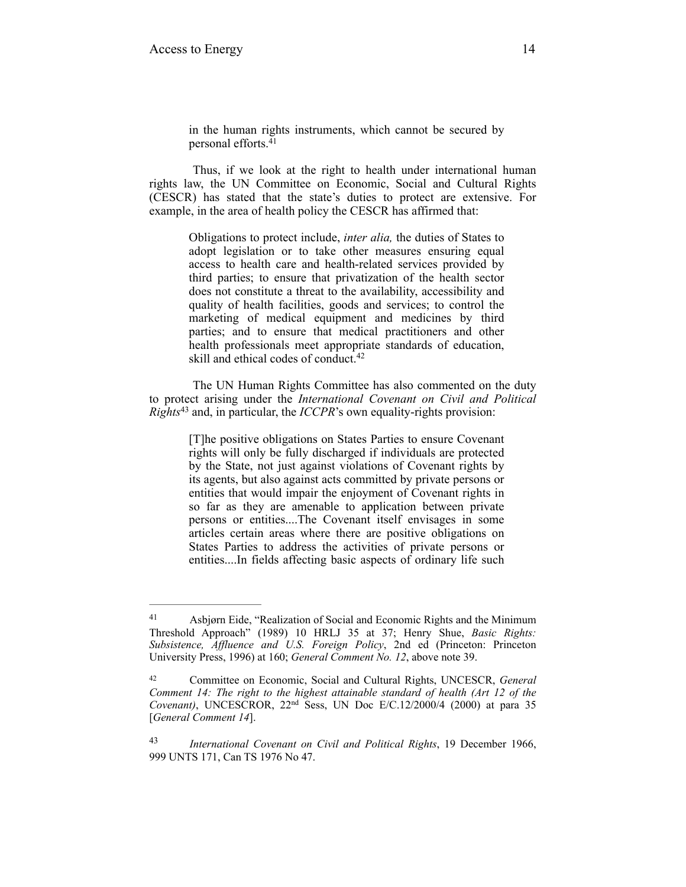in the human rights instruments, which cannot be secured by personal efforts.41

 Thus, if we look at the right to health under international human rights law, the UN Committee on Economic, Social and Cultural Rights (CESCR) has stated that the state's duties to protect are extensive. For example, in the area of health policy the CESCR has affirmed that:

Obligations to protect include, *inter alia,* the duties of States to adopt legislation or to take other measures ensuring equal access to health care and health-related services provided by third parties; to ensure that privatization of the health sector does not constitute a threat to the availability, accessibility and quality of health facilities, goods and services; to control the marketing of medical equipment and medicines by third parties; and to ensure that medical practitioners and other health professionals meet appropriate standards of education, skill and ethical codes of conduct.<sup>42</sup>

 The UN Human Rights Committee has also commented on the duty to protect arising under the *International Covenant on Civil and Political Rights*<sup>43</sup> and, in particular, the *ICCPR*'s own equality-rights provision:

[T]he positive obligations on States Parties to ensure Covenant rights will only be fully discharged if individuals are protected by the State, not just against violations of Covenant rights by its agents, but also against acts committed by private persons or entities that would impair the enjoyment of Covenant rights in so far as they are amenable to application between private persons or entities....The Covenant itself envisages in some articles certain areas where there are positive obligations on States Parties to address the activities of private persons or entities....In fields affecting basic aspects of ordinary life such

Asbjørn Eide, "Realization of Social and Economic Rights and the Minimum 41 Threshold Approach" (1989) 10 HRLJ 35 at 37; Henry Shue, *Basic Rights: Subsistence, Affluence and U.S. Foreign Policy*, 2nd ed (Princeton: Princeton University Press, 1996) at 160; *General Comment No. 12*, above note 39.

Committee on Economic, Social and Cultural Rights, UNCESCR, *General* <sup>42</sup> *Comment 14: The right to the highest attainable standard of health (Art 12 of the Covenant)*, UNCESCROR, 22nd Sess, UN Doc E/C.12/2000/4 (2000) at para 35 [*General Comment 14*].

*International Covenant on Civil and Political Rights*, 19 December 1966, 43 999 UNTS 171, Can TS 1976 No 47.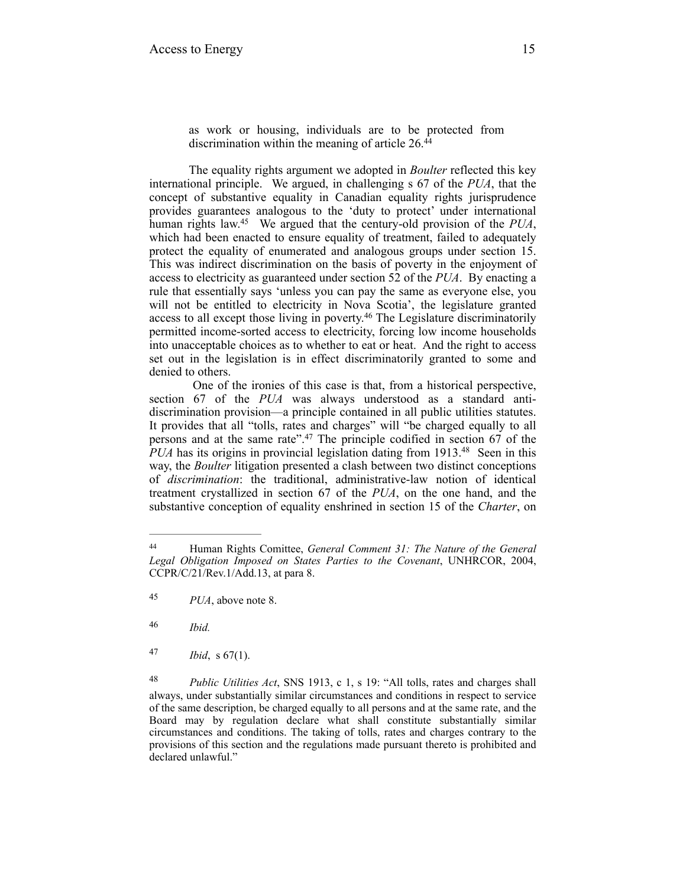as work or housing, individuals are to be protected from discrimination within the meaning of article 26.<sup>44</sup>

The equality rights argument we adopted in *Boulter* reflected this key international principle. We argued, in challenging s 67 of the *PUA*, that the concept of substantive equality in Canadian equality rights jurisprudence provides guarantees analogous to the 'duty to protect' under international human rights law.<sup>45</sup> We argued that the century-old provision of the  $PUA$ , which had been enacted to ensure equality of treatment, failed to adequately protect the equality of enumerated and analogous groups under section 15. This was indirect discrimination on the basis of poverty in the enjoyment of access to electricity as guaranteed under section 52 of the *PUA*. By enacting a rule that essentially says 'unless you can pay the same as everyone else, you will not be entitled to electricity in Nova Scotia', the legislature granted access to all except those living in poverty.<sup>46</sup> The Legislature discriminatorily permitted income-sorted access to electricity, forcing low income households into unacceptable choices as to whether to eat or heat. And the right to access set out in the legislation is in effect discriminatorily granted to some and denied to others.

 One of the ironies of this case is that, from a historical perspective, section 67 of the *PUA* was always understood as a standard antidiscrimination provision—a principle contained in all public utilities statutes. It provides that all "tolls, rates and charges" will "be charged equally to all persons and at the same rate". $47$  The principle codified in section 67 of the *PUA* has its origins in provincial legislation dating from 1913.<sup>48</sup> Seen in this way, the *Boulter* litigation presented a clash between two distinct conceptions of *discrimination*: the traditional, administrative-law notion of identical treatment crystallized in section 67 of the *PUA*, on the one hand, and the substantive conception of equality enshrined in section 15 of the *Charter*, on

*Ibid.* <sup>46</sup>

*Ibid*, s 67(1). 47

Human Rights Comittee, *General Comment 31: The Nature of the General* <sup>44</sup> *Legal Obligation Imposed on States Parties to the Covenant*, UNHRCOR, 2004, CCPR/C/21/Rev.1/Add.13, at para 8.

*PUA*, above note 8. 45

*Public Utilities Act*, SNS 1913, c 1, s 19: "All tolls, rates and charges shall 48 always, under substantially similar circumstances and conditions in respect to service of the same description, be charged equally to all persons and at the same rate, and the Board may by regulation declare what shall constitute substantially similar circumstances and conditions. The taking of tolls, rates and charges contrary to the provisions of this section and the regulations made pursuant thereto is prohibited and declared unlawful."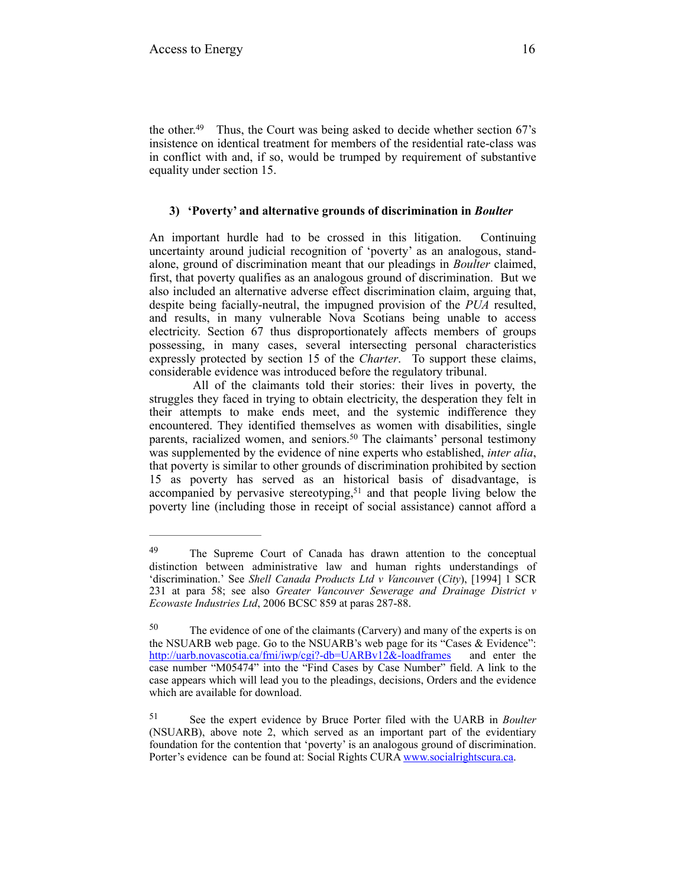the other. $49$  Thus, the Court was being asked to decide whether section 67's insistence on identical treatment for members of the residential rate-class was in conflict with and, if so, would be trumped by requirement of substantive equality under section 15.

#### **3) 'Poverty' and alternative grounds of discrimination in** *Boulter*

An important hurdle had to be crossed in this litigation. Continuing uncertainty around judicial recognition of 'poverty' as an analogous, standalone, ground of discrimination meant that our pleadings in *Boulter* claimed, first, that poverty qualifies as an analogous ground of discrimination. But we also included an alternative adverse effect discrimination claim, arguing that, despite being facially-neutral, the impugned provision of the *PUA* resulted, and results, in many vulnerable Nova Scotians being unable to access electricity. Section 67 thus disproportionately affects members of groups possessing, in many cases, several intersecting personal characteristics expressly protected by section 15 of the *Charter*. To support these claims, considerable evidence was introduced before the regulatory tribunal.

 All of the claimants told their stories: their lives in poverty, the struggles they faced in trying to obtain electricity, the desperation they felt in their attempts to make ends meet, and the systemic indifference they encountered. They identified themselves as women with disabilities, single parents, racialized women, and seniors.<sup>50</sup> The claimants' personal testimony was supplemented by the evidence of nine experts who established, *inter alia*, that poverty is similar to other grounds of discrimination prohibited by section 15 as poverty has served as an historical basis of disadvantage, is accompanied by pervasive stereotyping,  $51$  and that people living below the poverty line (including those in receipt of social assistance) cannot afford a

<sup>&</sup>lt;sup>49</sup> The Supreme Court of Canada has drawn attention to the conceptual distinction between administrative law and human rights understandings of 'discrimination.' See *Shell Canada Products Ltd v Vancouve*r (*City*), [1994] 1 SCR 231 at para 58; see also *Greater Vancouver Sewerage and Drainage District v Ecowaste Industries Ltd*, 2006 BCSC 859 at paras 287-88.

 $50$  The evidence of one of the claimants (Carvery) and many of the experts is on the NSUARB web page. Go to the NSUARB's web page for its "Cases & Evidence": [http://uarb.novascotia.ca/fmi/iwp/cgi?-db=UARBv12&-loadframes](http://uarb.novascotia.ca/fmi/iwp/cgi?-db=uarbv12&-loadframes) and enter the case number "M05474" into the "Find Cases by Case Number" field. A link to the case appears which will lead you to the pleadings, decisions, Orders and the evidence which are available for download.

See the expert evidence by Bruce Porter filed with the UARB in *Boulter* <sup>51</sup> (NSUARB), above note 2, which served as an important part of the evidentiary foundation for the contention that 'poverty' is an analogous ground of discrimination. Porter's evidence can be found at: Social Rights CURA [www.socialrightscura.ca](http://www.socialrightscura.ca/documents/legal/discrimination/bruce%2520porter%2520boulter%2520evidence.pdf).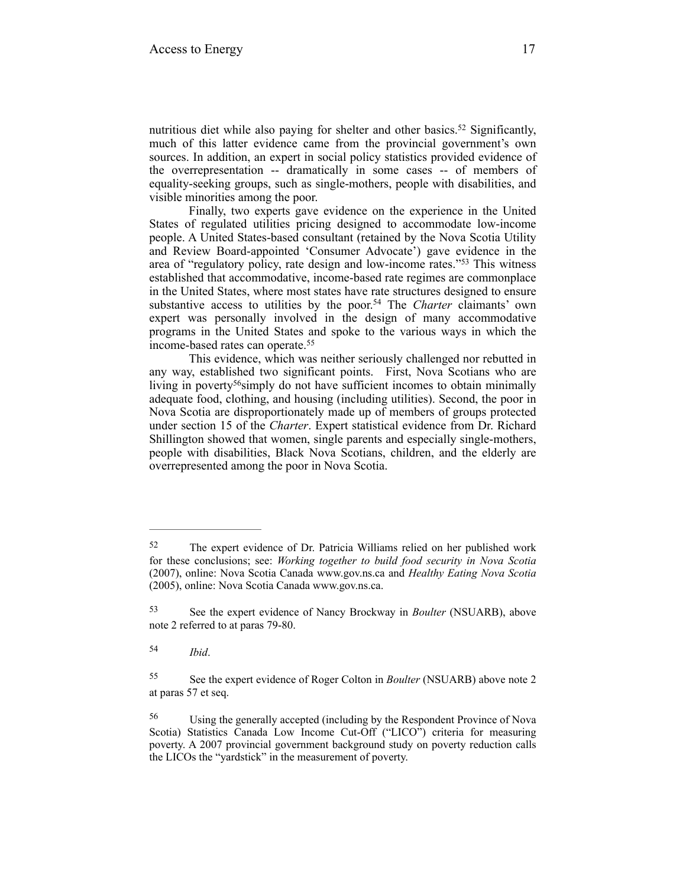nutritious diet while also paying for shelter and other basics.<sup>52</sup> Significantly, much of this latter evidence came from the provincial government's own sources. In addition, an expert in social policy statistics provided evidence of the overrepresentation -- dramatically in some cases -- of members of equality-seeking groups, such as single-mothers, people with disabilities, and visible minorities among the poor.

 Finally, two experts gave evidence on the experience in the United States of regulated utilities pricing designed to accommodate low-income people. A United States-based consultant (retained by the Nova Scotia Utility and Review Board-appointed 'Consumer Advocate') gave evidence in the area of "regulatory policy, rate design and low-income rates."<sup>53</sup> This witness established that accommodative, income-based rate regimes are commonplace in the United States, where most states have rate structures designed to ensure substantive access to utilities by the poor.<sup>54</sup> The *Charter* claimants' own expert was personally involved in the design of many accommodative programs in the United States and spoke to the various ways in which the income-based rates can operate.<sup>55</sup>

 This evidence, which was neither seriously challenged nor rebutted in any way, established two significant points. First, Nova Scotians who are living in poverty<sup>56</sup> simply do not have sufficient incomes to obtain minimally adequate food, clothing, and housing (including utilities). Second, the poor in Nova Scotia are disproportionately made up of members of groups protected under section 15 of the *Charter*. Expert statistical evidence from Dr. Richard Shillington showed that women, single parents and especially single-mothers, people with disabilities, Black Nova Scotians, children, and the elderly are overrepresented among the poor in Nova Scotia.

The expert evidence of Dr. Patricia Williams relied on her published work 52 for these conclusions; see: *Working together to build food security in Nova Scotia*  (2007), online: Nova Scotia Canada [www.gov.ns.ca](http://www.gov.ns.ca/hpp/publications/2004-05foodcosting.pdf) and *Healthy Eating Nova Scotia*  (2005), online: Nova Scotia Canada [www.gov.ns.ca.](http://www.gov.ns.ca/hpp/publications/healthyeatingnovascotia2005.pdf)

<sup>53</sup> See the expert evidence of Nancy Brockway in *Boulter* (NSUARB), above note 2 referred to at paras 79-80.

*Ibid*. <sup>54</sup>

See the expert evidence of Roger Colton in *Boulter* (NSUARB) above note 2 55 at paras 57 et seq.

Using the generally accepted (including by the Respondent Province of Nova 56 Scotia) Statistics Canada Low Income Cut-Off ("LICO") criteria for measuring poverty. A 2007 provincial government background study on poverty reduction calls the LICOs the "yardstick" in the measurement of poverty.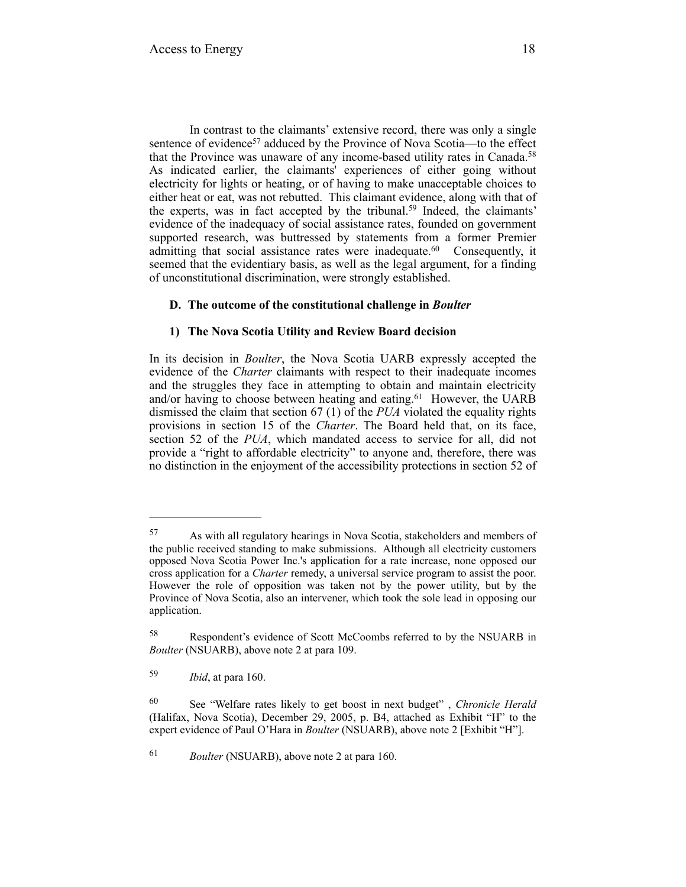In contrast to the claimants' extensive record, there was only a single sentence of evidence<sup>57</sup> adduced by the Province of Nova Scotia—to the effect that the Province was unaware of any income-based utility rates in Canada.<sup>58</sup> As indicated earlier, the claimants' experiences of either going without electricity for lights or heating, or of having to make unacceptable choices to either heat or eat, was not rebutted. This claimant evidence, along with that of the experts, was in fact accepted by the tribunal.<sup>59</sup> Indeed, the claimants' evidence of the inadequacy of social assistance rates, founded on government supported research, was buttressed by statements from a former Premier admitting that social assistance rates were inadequate.<sup>60</sup> Consequently, it seemed that the evidentiary basis, as well as the legal argument, for a finding of unconstitutional discrimination, were strongly established.

#### **D. The outcome of the constitutional challenge in** *Boulter*

#### **1) The Nova Scotia Utility and Review Board decision**

In its decision in *Boulter*, the Nova Scotia UARB expressly accepted the evidence of the *Charter* claimants with respect to their inadequate incomes and the struggles they face in attempting to obtain and maintain electricity and/or having to choose between heating and eating. $61$  However, the UARB dismissed the claim that section 67 (1) of the *PUA* violated the equality rights provisions in section 15 of the *Charter*. The Board held that, on its face, section 52 of the *PUA*, which mandated access to service for all, did not provide a "right to affordable electricity" to anyone and, therefore, there was no distinction in the enjoyment of the accessibility protections in section 52 of

<sup>61</sup> *Boulter* (NSUARB), above note 2 at para 160.

As with all regulatory hearings in Nova Scotia, stakeholders and members of 57 the public received standing to make submissions. Although all electricity customers opposed Nova Scotia Power Inc.'s application for a rate increase, none opposed our cross application for a *Charter* remedy, a universal service program to assist the poor. However the role of opposition was taken not by the power utility, but by the Province of Nova Scotia, also an intervener, which took the sole lead in opposing our application.

Respondent's evidence of Scott McCoombs referred to by the NSUARB in 58 *Boulter* (NSUARB), above note 2 at para 109.

*Ibid*, at para 160. <sup>59</sup>

See "Welfare rates likely to get boost in next budget" , *Chronicle Herald* <sup>60</sup> (Halifax, Nova Scotia), December 29, 2005, p. B4, attached as Exhibit "H" to the expert evidence of Paul O'Hara in *Boulter* (NSUARB), above note 2 [Exhibit "H"].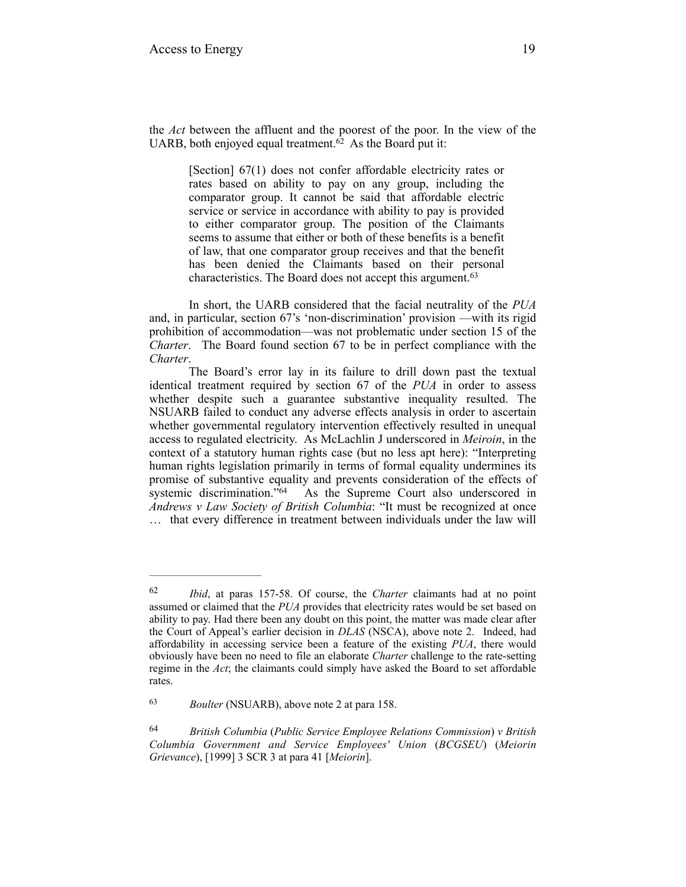the *Act* between the affluent and the poorest of the poor. In the view of the UARB, both enjoyed equal treatment. $\hat{\alpha}$  As the Board put it:

> [Section] 67(1) does not confer affordable electricity rates or rates based on ability to pay on any group, including the comparator group. It cannot be said that affordable electric service or service in accordance with ability to pay is provided to either comparator group. The position of the Claimants seems to assume that either or both of these benefits is a benefit of law, that one comparator group receives and that the benefit has been denied the Claimants based on their personal characteristics. The Board does not accept this argument.63

In short, the UARB considered that the facial neutrality of the *PUA* and, in particular, section 67's 'non-discrimination' provision —with its rigid prohibition of accommodation—was not problematic under section 15 of the *Charter*. The Board found section 67 to be in perfect compliance with the *Charter*.

The Board's error lay in its failure to drill down past the textual identical treatment required by section 67 of the *PUA* in order to assess whether despite such a guarantee substantive inequality resulted. The NSUARB failed to conduct any adverse effects analysis in order to ascertain whether governmental regulatory intervention effectively resulted in unequal access to regulated electricity. As McLachlin J underscored in *Meiroin*, in the context of a statutory human rights case (but no less apt here): "Interpreting human rights legislation primarily in terms of formal equality undermines its promise of substantive equality and prevents consideration of the effects of systemic discrimination.<sup> $564$ </sup> As the Supreme Court also underscored in *Andrews v Law Society of British Columbia*: "It must be recognized at once … that every difference in treatment between individuals under the law will

<sup>&</sup>lt;sup>62</sup> *Ibid*, at paras 157-58. Of course, the *Charter* claimants had at no point assumed or claimed that the *PUA* provides that electricity rates would be set based on ability to pay. Had there been any doubt on this point, the matter was made clear after the Court of Appeal's earlier decision in *DLAS* (NSCA), above note 2. Indeed, had affordability in accessing service been a feature of the existing *PUA*, there would obviously have been no need to file an elaborate *Charter* challenge to the rate-setting regime in the *Act*; the claimants could simply have asked the Board to set affordable rates.

*Boulter* (NSUARB), above note 2 at para 158. 63

*British Columbia* (*Public Service Employee Relations Commission*) *v British* <sup>64</sup> *Columbia Government and Service Employees' Union* (*BCGSEU*) (*Meiorin Grievance*), [1999] 3 SCR 3 at para 41 [*Meiorin*].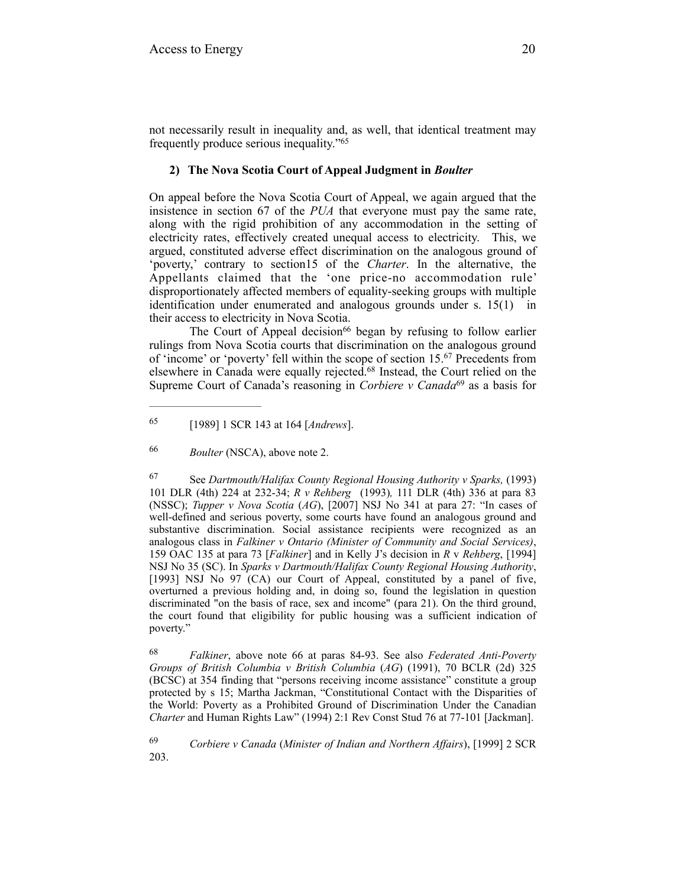not necessarily result in inequality and, as well, that identical treatment may frequently produce serious inequality."65

#### **2) The Nova Scotia Court of Appeal Judgment in** *Boulter*

On appeal before the Nova Scotia Court of Appeal, we again argued that the insistence in section 67 of the *PUA* that everyone must pay the same rate, along with the rigid prohibition of any accommodation in the setting of electricity rates, effectively created unequal access to electricity. This, we argued, constituted adverse effect discrimination on the analogous ground of 'poverty,' contrary to section15 of the *Charter*. In the alternative, the Appellants claimed that the 'one price-no accommodation rule' disproportionately affected members of equality-seeking groups with multiple identification under enumerated and analogous grounds under s. 15(1) in their access to electricity in Nova Scotia.

The Court of Appeal decision<sup>66</sup> began by refusing to follow earlier rulings from Nova Scotia courts that discrimination on the analogous ground of 'income' or 'poverty' fell within the scope of section  $15<sup>67</sup>$  Precedents from elsewhere in Canada were equally rejected.<sup>68</sup> Instead, the Court relied on the Supreme Court of Canada's reasoning in *Corbiere v Canada*<sup>69</sup> as a basis for

 See *Dartmouth/Halifax County Regional Housing Authority v Sparks,* (1993) 67 101 DLR (4th) 224 at 232-34; *R v Rehberg* (1993)*,* 111 DLR (4th) 336 at para 83 (NSSC); *Tupper v Nova Scotia* (*AG*), [2007] NSJ No 341 at para 27: "In cases of well-defined and serious poverty, some courts have found an analogous ground and substantive discrimination. Social assistance recipients were recognized as an analogous class in *Falkiner v Ontario (Minister of Community and Social Services)*, 159 OAC 135 at para 73 [*Falkiner*] and in Kelly J's decision in *R* v *Rehberg*, [1994] NSJ No 35 (SC). In *Sparks v Dartmouth/Halifax County Regional Housing Authority*, [1993] NSJ No 97 (CA) our Court of Appeal, constituted by a panel of five, overturned a previous holding and, in doing so, found the legislation in question discriminated "on the basis of race, sex and income" (para 21). On the third ground, the court found that eligibility for public housing was a sufficient indication of poverty."

 *Falkiner*, above note 66 at paras 84-93. See also *Federated Anti-Poverty* <sup>68</sup> *Groups of British Columbia v British Columbia* (*AG*) (1991), 70 BCLR (2d) 325 (BCSC) at 354 finding that "persons receiving income assistance" constitute a group protected by s 15; Martha Jackman, "Constitutional Contact with the Disparities of the World: Poverty as a Prohibited Ground of Discrimination Under the Canadian *Charter* and Human Rights Law" (1994) 2:1 Rev Const Stud 76 at 77-101 [Jackman].

 *Corbiere v Canada* (*Minister of Indian and Northern Affairs*), [1999] 2 SCR 69 203.

 <sup>[1989] 1</sup> SCR 143 at 164 [*Andrews*]. <sup>65</sup>

<sup>&</sup>lt;sup>66</sup> *Boulter* (NSCA), above note 2.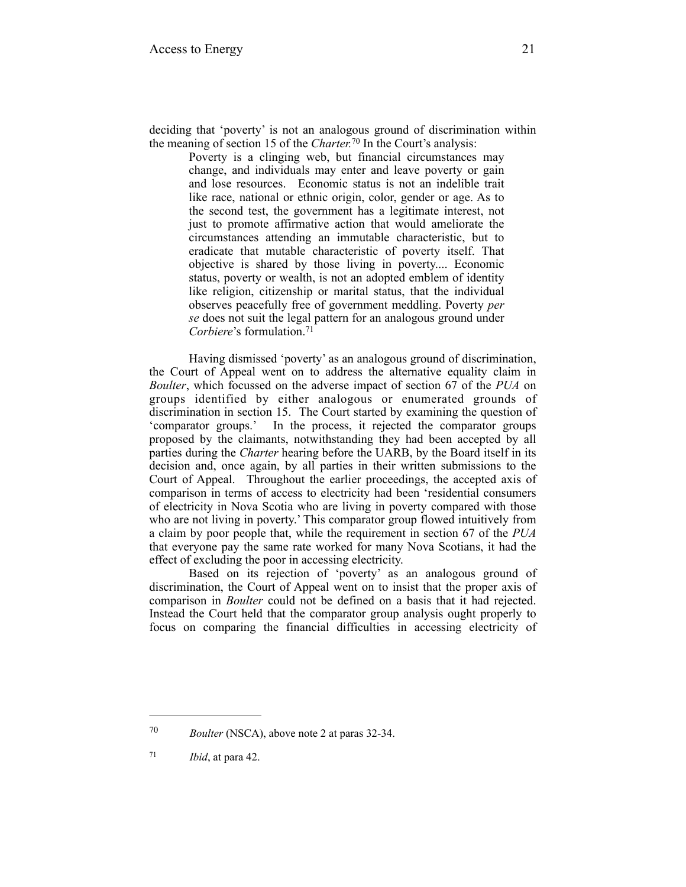Poverty is a clinging web, but financial circumstances may change, and individuals may enter and leave poverty or gain and lose resources. Economic status is not an indelible trait like race, national or ethnic origin, color, gender or age. As to the second test, the government has a legitimate interest, not just to promote affirmative action that would ameliorate the circumstances attending an immutable characteristic, but to eradicate that mutable characteristic of poverty itself. That objective is shared by those living in poverty.... Economic status, poverty or wealth, is not an adopted emblem of identity like religion, citizenship or marital status, that the individual observes peacefully free of government meddling. Poverty *per se* does not suit the legal pattern for an analogous ground under *Corbiere*'s formulation.71

Having dismissed 'poverty' as an analogous ground of discrimination, the Court of Appeal went on to address the alternative equality claim in *Boulter*, which focussed on the adverse impact of section 67 of the *PUA* on groups identified by either analogous or enumerated grounds of discrimination in section 15. The Court started by examining the question of 'comparator groups.' In the process, it rejected the comparator groups proposed by the claimants, notwithstanding they had been accepted by all parties during the *Charter* hearing before the UARB, by the Board itself in its decision and, once again, by all parties in their written submissions to the Court of Appeal. Throughout the earlier proceedings, the accepted axis of comparison in terms of access to electricity had been 'residential consumers of electricity in Nova Scotia who are living in poverty compared with those who are not living in poverty.' This comparator group flowed intuitively from a claim by poor people that, while the requirement in section 67 of the *PUA* that everyone pay the same rate worked for many Nova Scotians, it had the effect of excluding the poor in accessing electricity.

Based on its rejection of 'poverty' as an analogous ground of discrimination, the Court of Appeal went on to insist that the proper axis of comparison in *Boulter* could not be defined on a basis that it had rejected. Instead the Court held that the comparator group analysis ought properly to focus on comparing the financial difficulties in accessing electricity of

<sup>70</sup> *Boulter* (NSCA), above note 2 at paras 32-34.

 $71$  *Ibid*, at para 42.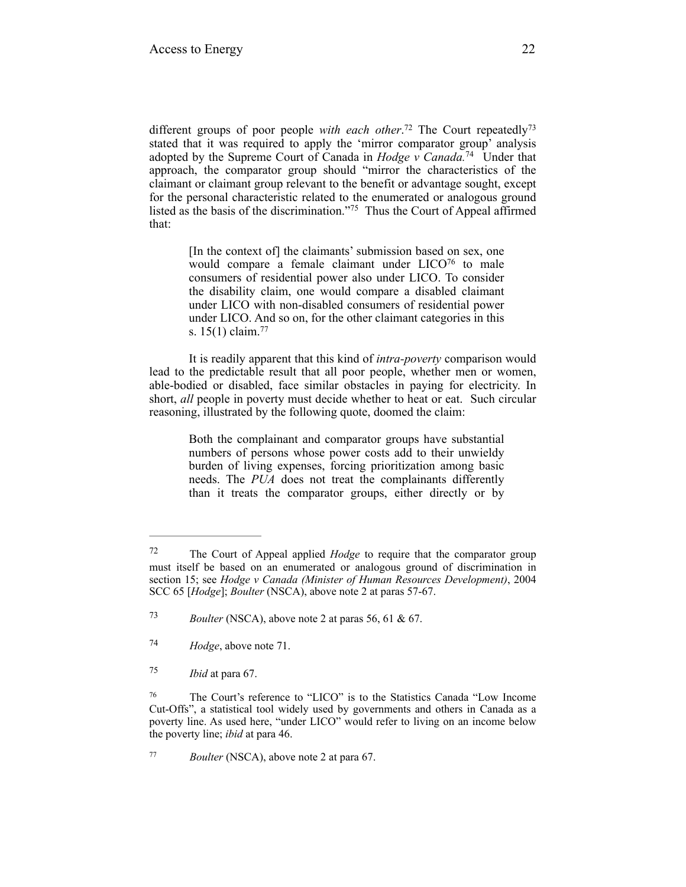different groups of poor people *with each other*.<sup>72</sup> The Court repeatedly<sup>73</sup> stated that it was required to apply the 'mirror comparator group' analysis adopted by the Supreme Court of Canada in *Hodge v* Canada.<sup>74</sup> Under that approach, the comparator group should "mirror the characteristics of the claimant or claimant group relevant to the benefit or advantage sought, except for the personal characteristic related to the enumerated or analogous ground listed as the basis of the discrimination."<sup>75</sup> Thus the Court of Appeal affirmed that:

> [In the context of] the claimants' submission based on sex, one would compare a female claimant under  $LICO<sup>76</sup>$  to male consumers of residential power also under LICO. To consider the disability claim, one would compare a disabled claimant under LICO with non-disabled consumers of residential power under LICO. And so on, for the other claimant categories in this s. 15(1) claim.77

It is readily apparent that this kind of *intra-poverty* comparison would lead to the predictable result that all poor people, whether men or women, able-bodied or disabled, face similar obstacles in paying for electricity. In short, *all* people in poverty must decide whether to heat or eat. Such circular reasoning, illustrated by the following quote, doomed the claim:

> Both the complainant and comparator groups have substantial numbers of persons whose power costs add to their unwieldy burden of living expenses, forcing prioritization among basic needs. The *PUA* does not treat the complainants differently than it treats the comparator groups, either directly or by

The Court of Appeal applied *Hodge* to require that the comparator group 72 must itself be based on an enumerated or analogous ground of discrimination in section 15; see *Hodge v Canada (Minister of Human Resources Development)*, 2004 SCC 65 [*Hodge*]; *Boulter* (NSCA), above note 2 at paras 57-67.

*Boulter* (NSCA), above note 2 at paras 56, 61  $\&$  67.

<sup>&</sup>lt;sup>74</sup> *Hodge*, above note 71.

*Ibid* at para 67. 75

The Court's reference to "LICO" is to the Statistics Canada "Low Income 76 Cut-Offs", a statistical tool widely used by governments and others in Canada as a poverty line. As used here, "under LICO" would refer to living on an income below the poverty line; *ibid* at para 46.

*Boulter* (NSCA), above note 2 at para 67.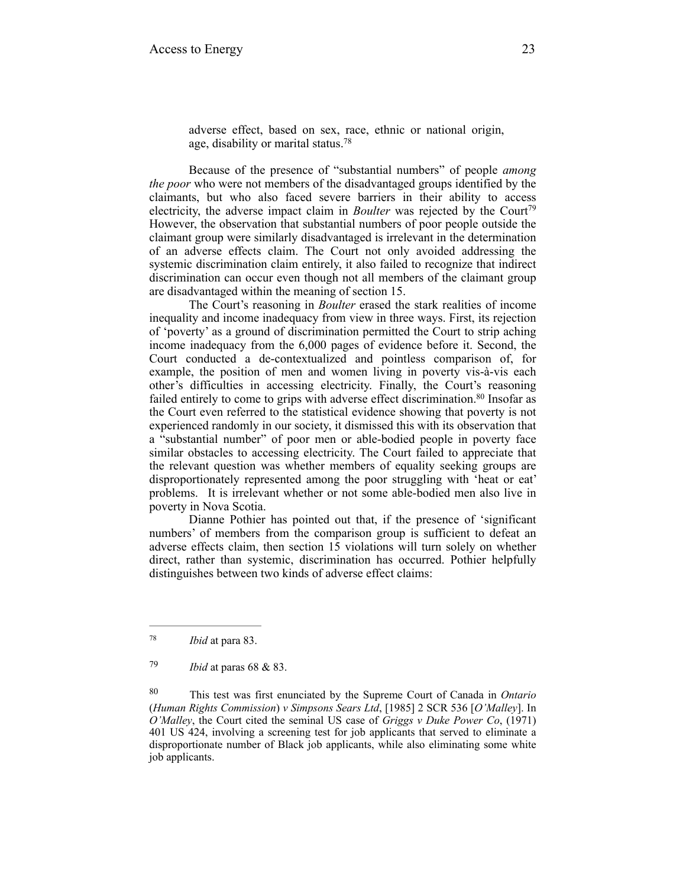adverse effect, based on sex, race, ethnic or national origin, age, disability or marital status.78

Because of the presence of "substantial numbers" of people *among the poor* who were not members of the disadvantaged groups identified by the claimants, but who also faced severe barriers in their ability to access electricity, the adverse impact claim in *Boulter* was rejected by the Court<sup>79</sup> However, the observation that substantial numbers of poor people outside the claimant group were similarly disadvantaged is irrelevant in the determination of an adverse effects claim. The Court not only avoided addressing the systemic discrimination claim entirely, it also failed to recognize that indirect discrimination can occur even though not all members of the claimant group are disadvantaged within the meaning of section 15.

The Court's reasoning in *Boulter* erased the stark realities of income inequality and income inadequacy from view in three ways. First, its rejection of 'poverty' as a ground of discrimination permitted the Court to strip aching income inadequacy from the 6,000 pages of evidence before it. Second, the Court conducted a de-contextualized and pointless comparison of, for example, the position of men and women living in poverty vis-à-vis each other's difficulties in accessing electricity. Finally, the Court's reasoning failed entirely to come to grips with adverse effect discrimination.<sup>80</sup> Insofar as the Court even referred to the statistical evidence showing that poverty is not experienced randomly in our society, it dismissed this with its observation that a "substantial number" of poor men or able-bodied people in poverty face similar obstacles to accessing electricity. The Court failed to appreciate that the relevant question was whether members of equality seeking groups are disproportionately represented among the poor struggling with 'heat or eat' problems. It is irrelevant whether or not some able-bodied men also live in poverty in Nova Scotia.

Dianne Pothier has pointed out that, if the presence of 'significant numbers' of members from the comparison group is sufficient to defeat an adverse effects claim, then section 15 violations will turn solely on whether direct, rather than systemic, discrimination has occurred. Pothier helpfully distinguishes between two kinds of adverse effect claims:

<sup>&</sup>lt;sup>78</sup> *Ibid* at para 83.

*Ibid* at paras 68 & 83. <sup>79</sup>

This test was first enunciated by the Supreme Court of Canada in *Ontario* <sup>80</sup> (*Human Rights Commission*) *v Simpsons Sears Ltd*, [1985] 2 SCR 536 [*O'Malley*]. In *O'Malley*, the Court cited the seminal US case of *Griggs v Duke Power Co*, (1971) 401 US 424, involving a screening test for job applicants that served to eliminate a disproportionate number of Black job applicants, while also eliminating some white job applicants.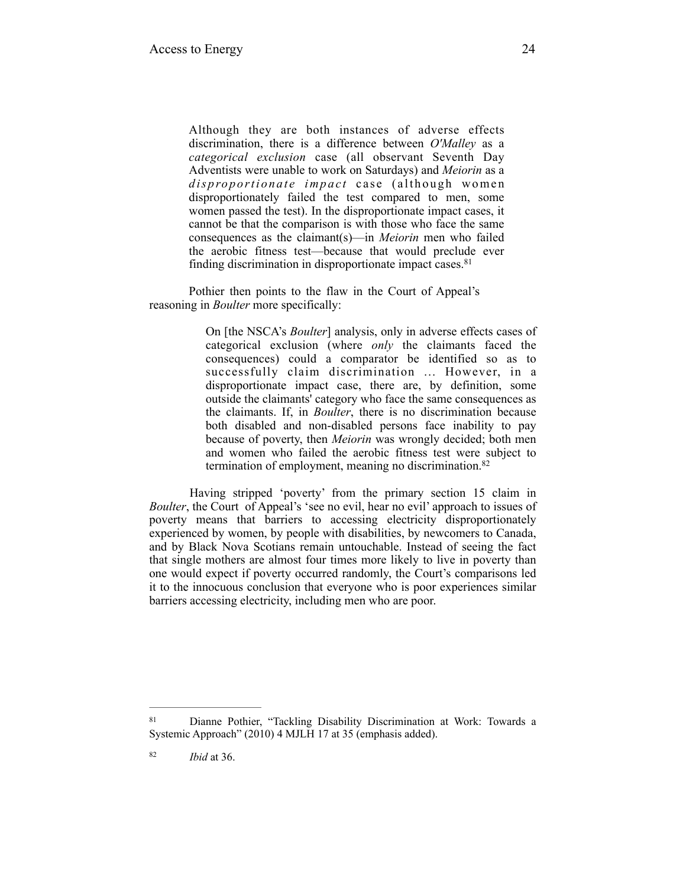Although they are both instances of adverse effects discrimination, there is a difference between *O'Malley* as a *categorical exclusion* case (all observant Seventh Day Adventists were unable to work on Saturdays) and *Meiorin* as a disproportionate impact case (although women disproportionately failed the test compared to men, some women passed the test). In the disproportionate impact cases, it cannot be that the comparison is with those who face the same consequences as the claimant(s)—in *Meiorin* men who failed the aerobic fitness test—because that would preclude ever finding discrimination in disproportionate impact cases.81

Pothier then points to the flaw in the Court of Appeal's reasoning in *Boulter* more specifically:

> On [the NSCA's *Boulter*] analysis, only in adverse effects cases of categorical exclusion (where *only* the claimants faced the consequences) could a comparator be identified so as to successfully claim discrimination ... However, in a disproportionate impact case, there are, by definition, some outside the claimants' category who face the same consequences as the claimants. If, in *Boulter*, there is no discrimination because both disabled and non-disabled persons face inability to pay because of poverty, then *Meiorin* was wrongly decided; both men and women who failed the aerobic fitness test were subject to termination of employment, meaning no discrimination.<sup>82</sup>

Having stripped 'poverty' from the primary section 15 claim in *Boulter*, the Court of Appeal's 'see no evil, hear no evil' approach to issues of poverty means that barriers to accessing electricity disproportionately experienced by women, by people with disabilities, by newcomers to Canada, and by Black Nova Scotians remain untouchable. Instead of seeing the fact that single mothers are almost four times more likely to live in poverty than one would expect if poverty occurred randomly, the Court's comparisons led it to the innocuous conclusion that everyone who is poor experiences similar barriers accessing electricity, including men who are poor.

<sup>81</sup> Dianne Pothier, "Tackling Disability Discrimination at Work: Towards a Systemic Approach" (2010) 4 MJLH 17 at 35 (emphasis added).

*Ibid* at 36. <sup>82</sup>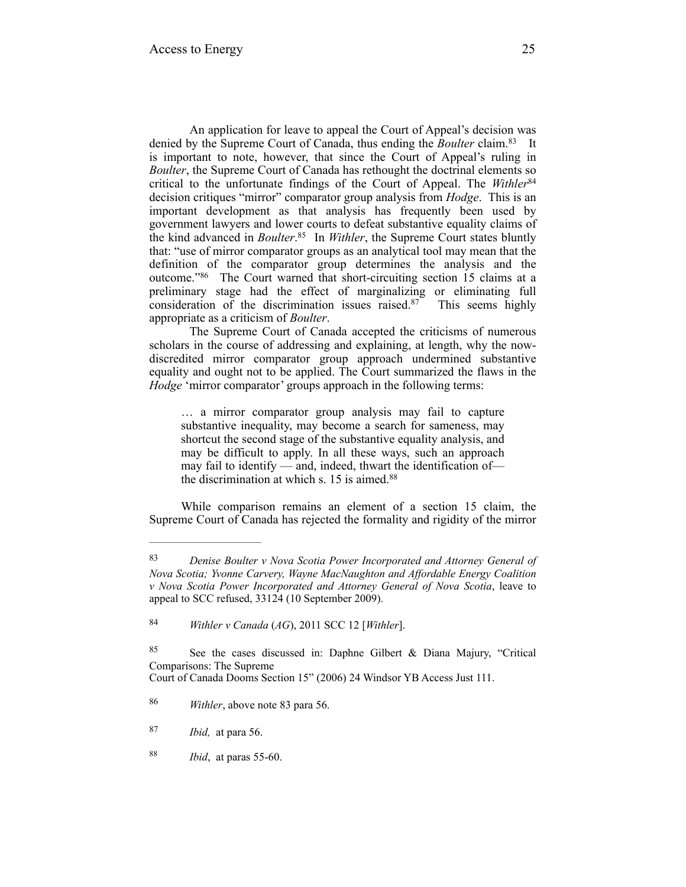An application for leave to appeal the Court of Appeal's decision was denied by the Supreme Court of Canada, thus ending the *Boulter* claim.<sup>83</sup> It is important to note, however, that since the Court of Appeal's ruling in *Boulter*, the Supreme Court of Canada has rethought the doctrinal elements so critical to the unfortunate findings of the Court of Appeal. The *Withler*<sup>84</sup> decision critiques "mirror" comparator group analysis from *Hodge*. This is an important development as that analysis has frequently been used by government lawyers and lower courts to defeat substantive equality claims of the kind advanced in *Boulter*.<sup>85</sup> In *Withler*, the Supreme Court states bluntly that: "use of mirror comparator groups as an analytical tool may mean that the definition of the comparator group determines the analysis and the outcome."<sup>86</sup> The Court warned that short-circuiting section 15 claims at a preliminary stage had the effect of marginalizing or eliminating full consideration of the discrimination issues raised. $87$  This seems highly appropriate as a criticism of *Boulter*.

The Supreme Court of Canada accepted the criticisms of numerous scholars in the course of addressing and explaining, at length, why the nowdiscredited mirror comparator group approach undermined substantive equality and ought not to be applied. The Court summarized the flaws in the *Hodge* 'mirror comparator' groups approach in the following terms:

… a mirror comparator group analysis may fail to capture substantive inequality, may become a search for sameness, may shortcut the second stage of the substantive equality analysis, and may be difficult to apply. In all these ways, such an approach may fail to identify — and, indeed, thwart the identification of the discrimination at which s. 15 is aimed.<sup>88</sup>

While comparison remains an element of a section 15 claim, the Supreme Court of Canada has rejected the formality and rigidity of the mirror

*Denise Boulter v Nova Scotia Power Incorporated and Attorney General of* <sup>83</sup> *Nova Scotia; Yvonne Carvery, Wayne MacNaughton and Affordable Energy Coalition v Nova Scotia Power Incorporated and Attorney General of Nova Scotia*, leave to appeal to SCC refused, 33124 (10 September 2009).

*Withler v Canada* (*AG*), 2011 SCC 12 [*Withler*]. 84

<sup>85</sup> See the cases discussed in: Daphne Gilbert & Diana Majury, "Critical Comparisons: The Supreme

Court of Canada Dooms Section 15" (2006) 24 Windsor YB Access Just 111.

<sup>&</sup>lt;sup>86</sup> *Withler*, above note 83 para 56.

*Ibid,* at para 56. <sup>87</sup>

 $188$  *Ibid*, at paras 55-60.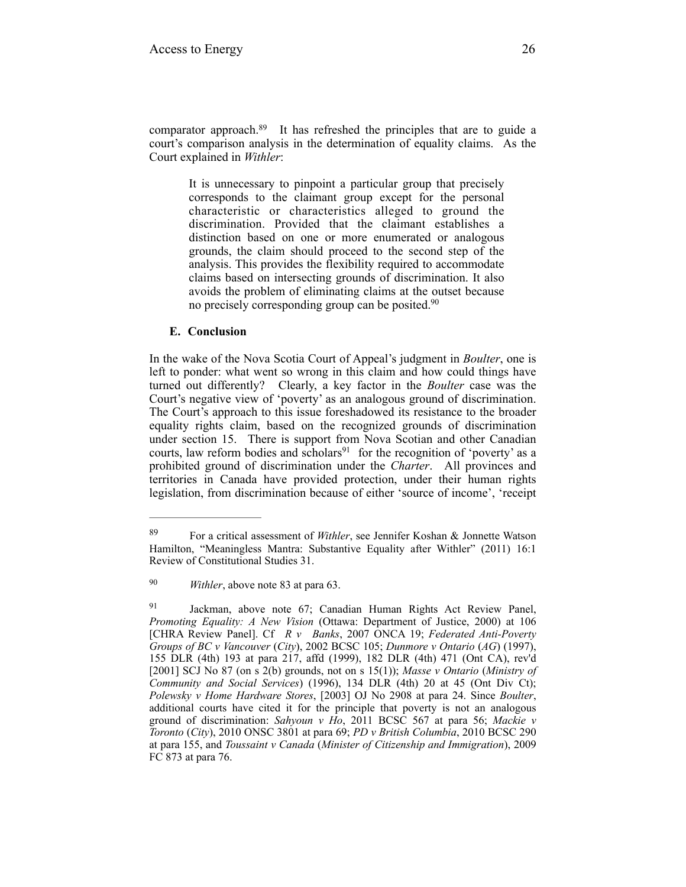comparator approach. $89$  It has refreshed the principles that are to guide a court's comparison analysis in the determination of equality claims. As the Court explained in *Withler*:

It is unnecessary to pinpoint a particular group that precisely corresponds to the claimant group except for the personal characteristic or characteristics alleged to ground the discrimination. Provided that the claimant establishes a distinction based on one or more enumerated or analogous grounds, the claim should proceed to the second step of the analysis. This provides the flexibility required to accommodate claims based on intersecting grounds of discrimination. It also avoids the problem of eliminating claims at the outset because no precisely corresponding group can be posited.<sup>90</sup>

# **E. Conclusion**

In the wake of the Nova Scotia Court of Appeal's judgment in *Boulter*, one is left to ponder: what went so wrong in this claim and how could things have turned out differently? Clearly, a key factor in the *Boulter* case was the Court's negative view of 'poverty' as an analogous ground of discrimination. The Court's approach to this issue foreshadowed its resistance to the broader equality rights claim, based on the recognized grounds of discrimination under section 15. There is support from Nova Scotian and other Canadian courts, law reform bodies and scholars $91$  for the recognition of 'poverty' as a prohibited ground of discrimination under the *Charter*. All provinces and territories in Canada have provided protection, under their human rights legislation, from discrimination because of either 'source of income', 'receipt

For a critical assessment of *Withler*, see Jennifer Koshan & Jonnette Watson 89 Hamilton, "Meaningless Mantra: Substantive Equality after Withler" (2011) 16:1 Review of Constitutional Studies 31.

<sup>&</sup>lt;sup>90</sup> *Withler*, above note 83 at para 63.

<sup>&</sup>lt;sup>91</sup> Jackman, above note 67; Canadian Human Rights Act Review Panel, *Promoting Equality: A New Vision* (Ottawa: Department of Justice, 2000) at 106 [CHRA Review Panel]. Cf *R v Banks*, 2007 ONCA 19; *Federated Anti-Poverty Groups of BC v Vancouver* (*City*), 2002 BCSC 105; *Dunmore v Ontario* (*AG*) (1997), 155 DLR (4th) 193 at para 217, affd (1999), 182 DLR (4th) 471 (Ont CA), rev'd [2001] SCJ No 87 (on s 2(b) grounds, not on s 15(1)); *Masse v Ontario* (*Ministry of Community and Social Services*) (1996), 134 DLR (4th) 20 at 45 (Ont Div Ct); *Polewsky v Home Hardware Stores*, [2003] OJ No 2908 at para 24. Since *Boulter*, additional courts have cited it for the principle that poverty is not an analogous ground of discrimination: *Sahyoun v Ho*, 2011 BCSC 567 at para 56; *Mackie v Toronto* (*City*), 2010 ONSC 3801 at para 69; *PD v British Columbia*, 2010 BCSC 290 at para 155, and *Toussaint v Canada* (*Minister of Citizenship and Immigration*), 2009 FC 873 at para 76.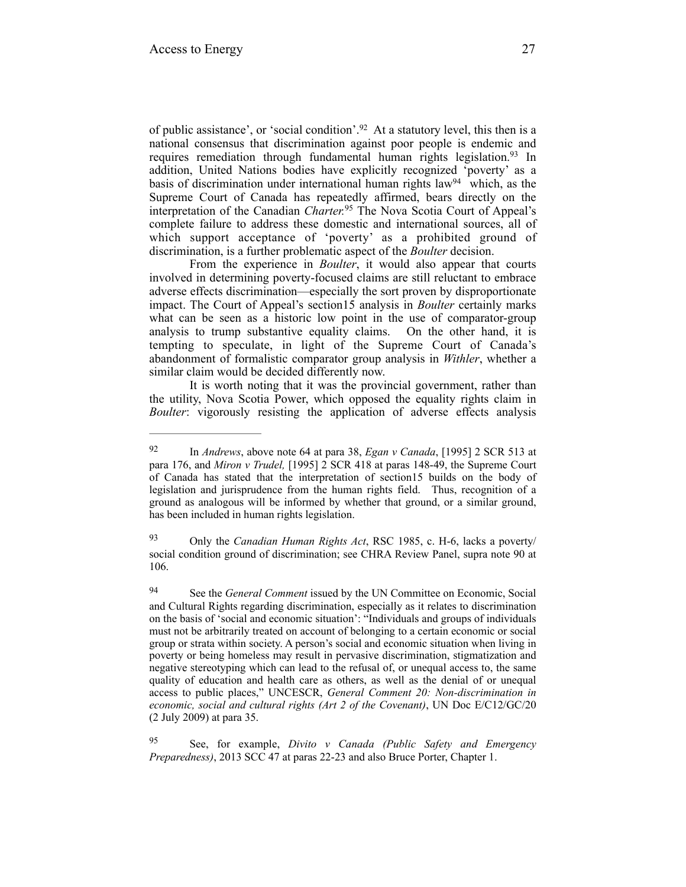of public assistance', or 'social condition'.<sup>92</sup> At a statutory level, this then is a national consensus that discrimination against poor people is endemic and requires remediation through fundamental human rights legislation.<sup>93</sup> In addition, United Nations bodies have explicitly recognized 'poverty' as a basis of discrimination under international human rights law $94$  which, as the Supreme Court of Canada has repeatedly affirmed, bears directly on the interpretation of the Canadian *Charter*.<sup>95</sup> The Nova Scotia Court of Appeal's complete failure to address these domestic and international sources, all of which support acceptance of 'poverty' as a prohibited ground of discrimination, is a further problematic aspect of the *Boulter* decision.

From the experience in *Boulter*, it would also appear that courts involved in determining poverty-focused claims are still reluctant to embrace adverse effects discrimination—especially the sort proven by disproportionate impact. The Court of Appeal's section15 analysis in *Boulter* certainly marks what can be seen as a historic low point in the use of comparator-group analysis to trump substantive equality claims. On the other hand, it is tempting to speculate, in light of the Supreme Court of Canada's abandonment of formalistic comparator group analysis in *Withler*, whether a similar claim would be decided differently now.

It is worth noting that it was the provincial government, rather than the utility, Nova Scotia Power, which opposed the equality rights claim in *Boulter*: vigorously resisting the application of adverse effects analysis

<sup>&</sup>lt;sup>92</sup> In *Andrews*, above note 64 at para 38, *Egan v Canada*, [1995] 2 SCR 513 at para 176, and *Miron v Trudel,* [1995] 2 SCR 418 at paras 148-49, the Supreme Court of Canada has stated that the interpretation of section15 builds on the body of legislation and jurisprudence from the human rights field. Thus, recognition of a ground as analogous will be informed by whether that ground, or a similar ground, has been included in human rights legislation.

<sup>&</sup>lt;sup>93</sup> Only the *Canadian Human Rights Act*, RSC 1985, c. H-6, lacks a poverty/ social condition ground of discrimination; see CHRA Review Panel, supra note 90 at 106.

<sup>&</sup>lt;sup>94</sup> See the *General Comment* issued by the UN Committee on Economic, Social and Cultural Rights regarding discrimination, especially as it relates to discrimination on the basis of 'social and economic situation': "Individuals and groups of individuals must not be arbitrarily treated on account of belonging to a certain economic or social group or strata within society. A person's social and economic situation when living in poverty or being homeless may result in pervasive discrimination, stigmatization and negative stereotyping which can lead to the refusal of, or unequal access to, the same quality of education and health care as others, as well as the denial of or unequal access to public places," UNCESCR, *General Comment 20: Non-discrimination in economic, social and cultural rights (Art 2 of the Covenant)*, UN Doc E/C12/GC/20 (2 July 2009) at para 35.

See, for example, *Divito v Canada (Public Safety and Emergency* <sup>95</sup> *Preparedness)*, 2013 SCC 47 at paras 22-23 and also Bruce Porter, Chapter 1.